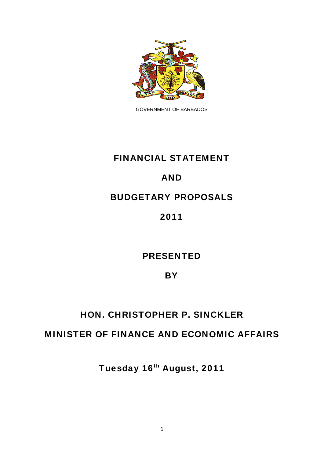

GOVERNMENT OF BARBADOS

# FINANCIAL STATEMENT

## AND

## BUDGETARY PROPOSALS

## 2011

# PRESENTED

## **BY**

# HON. CHRISTOPHER P. SINCKLER

## MINISTER OF FINANCE AND ECONOMIC AFFAIRS

Tuesday 16th August, 2011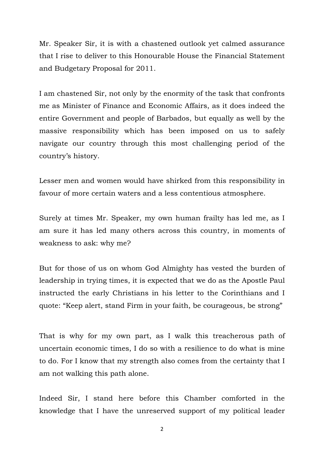Mr. Speaker Sir, it is with a chastened outlook yet calmed assurance that I rise to deliver to this Honourable House the Financial Statement and Budgetary Proposal for 2011.

I am chastened Sir, not only by the enormity of the task that confronts me as Minister of Finance and Economic Affairs, as it does indeed the entire Government and people of Barbados, but equally as well by the massive responsibility which has been imposed on us to safely navigate our country through this most challenging period of the country's history.

Lesser men and women would have shirked from this responsibility in favour of more certain waters and a less contentious atmosphere.

Surely at times Mr. Speaker, my own human frailty has led me, as I am sure it has led many others across this country, in moments of weakness to ask: why me?

But for those of us on whom God Almighty has vested the burden of leadership in trying times, it is expected that we do as the Apostle Paul instructed the early Christians in his letter to the Corinthians and I quote: "Keep alert, stand Firm in your faith, be courageous, be strong"

That is why for my own part, as I walk this treacherous path of uncertain economic times, I do so with a resilience to do what is mine to do. For I know that my strength also comes from the certainty that I am not walking this path alone.

Indeed Sir, I stand here before this Chamber comforted in the knowledge that I have the unreserved support of my political leader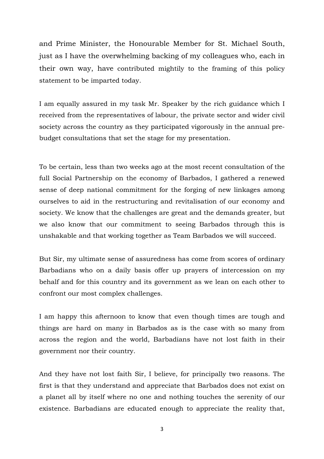and Prime Minister, the Honourable Member for St. Michael South, just as I have the overwhelming backing of my colleagues who, each in their own way, have contributed mightily to the framing of this policy statement to be imparted today.

I am equally assured in my task Mr. Speaker by the rich guidance which I received from the representatives of labour, the private sector and wider civil society across the country as they participated vigorously in the annual prebudget consultations that set the stage for my presentation.

To be certain, less than two weeks ago at the most recent consultation of the full Social Partnership on the economy of Barbados, I gathered a renewed sense of deep national commitment for the forging of new linkages among ourselves to aid in the restructuring and revitalisation of our economy and society. We know that the challenges are great and the demands greater, but we also know that our commitment to seeing Barbados through this is unshakable and that working together as Team Barbados we will succeed.

But Sir, my ultimate sense of assuredness has come from scores of ordinary Barbadians who on a daily basis offer up prayers of intercession on my behalf and for this country and its government as we lean on each other to confront our most complex challenges.

I am happy this afternoon to know that even though times are tough and things are hard on many in Barbados as is the case with so many from across the region and the world, Barbadians have not lost faith in their government nor their country.

And they have not lost faith Sir, I believe, for principally two reasons. The first is that they understand and appreciate that Barbados does not exist on a planet all by itself where no one and nothing touches the serenity of our existence. Barbadians are educated enough to appreciate the reality that,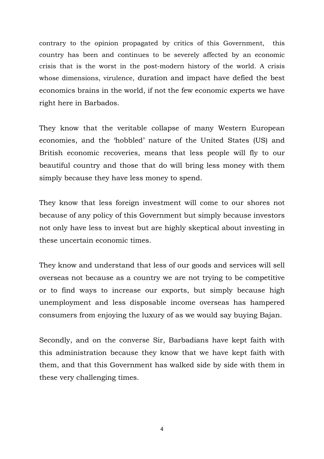contrary to the opinion propagated by critics of this Government, this country has been and continues to be severely affected by an economic crisis that is the worst in the post-modern history of the world. A crisis whose dimensions, virulence, duration and impact have defied the best economics brains in the world, if not the few economic experts we have right here in Barbados.

They know that the veritable collapse of many Western European economies, and the 'hobbled' nature of the United States (US) and British economic recoveries, means that less people will fly to our beautiful country and those that do will bring less money with them simply because they have less money to spend.

They know that less foreign investment will come to our shores not because of any policy of this Government but simply because investors not only have less to invest but are highly skeptical about investing in these uncertain economic times.

They know and understand that less of our goods and services will sell overseas not because as a country we are not trying to be competitive or to find ways to increase our exports, but simply because high unemployment and less disposable income overseas has hampered consumers from enjoying the luxury of as we would say buying Bajan.

Secondly, and on the converse Sir, Barbadians have kept faith with this administration because they know that we have kept faith with them, and that this Government has walked side by side with them in these very challenging times.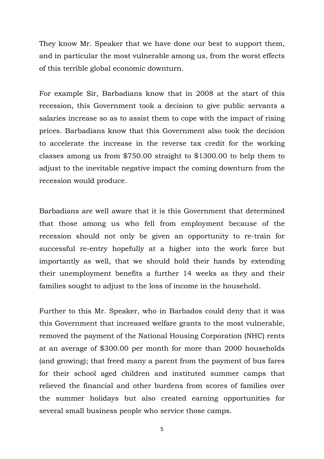They know Mr. Speaker that we have done our best to support them, and in particular the most vulnerable among us, from the worst effects of this terrible global economic downturn.

For example Sir, Barbadians know that in 2008 at the start of this recession, this Government took a decision to give public servants a salaries increase so as to assist them to cope with the impact of rising prices. Barbadians know that this Government also took the decision to accelerate the increase in the reverse tax credit for the working classes among us from \$750.00 straight to \$1300.00 to help them to adjust to the inevitable negative impact the coming downturn from the recession would produce.

Barbadians are well aware that it is this Government that determined that those among us who fell from employment because of the recession should not only be given an opportunity to re-train for successful re-entry hopefully at a higher into the work force but importantly as well, that we should hold their hands by extending their unemployment benefits a further 14 weeks as they and their families sought to adjust to the loss of income in the household.

Further to this Mr. Speaker, who in Barbados could deny that it was this Government that increased welfare grants to the most vulnerable, removed the payment of the National Housing Corporation (NHC) rents at an average of \$300.00 per month for more than 2000 households (and growing); that freed many a parent from the payment of bus fares for their school aged children and instituted summer camps that relieved the financial and other burdens from scores of families over the summer holidays but also created earning opportunities for several small business people who service those camps.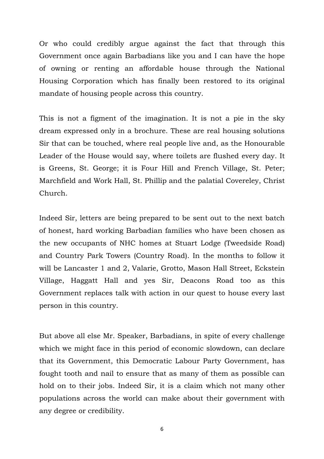Or who could credibly argue against the fact that through this Government once again Barbadians like you and I can have the hope of owning or renting an affordable house through the National Housing Corporation which has finally been restored to its original mandate of housing people across this country.

This is not a figment of the imagination. It is not a pie in the sky dream expressed only in a brochure. These are real housing solutions Sir that can be touched, where real people live and, as the Honourable Leader of the House would say, where toilets are flushed every day. It is Greens, St. George; it is Four Hill and French Village, St. Peter; Marchfield and Work Hall, St. Phillip and the palatial Covereley, Christ Church.

Indeed Sir, letters are being prepared to be sent out to the next batch of honest, hard working Barbadian families who have been chosen as the new occupants of NHC homes at Stuart Lodge (Tweedside Road) and Country Park Towers (Country Road). In the months to follow it will be Lancaster 1 and 2, Valarie, Grotto, Mason Hall Street, Eckstein Village, Haggatt Hall and yes Sir, Deacons Road too as this Government replaces talk with action in our quest to house every last person in this country.

But above all else Mr. Speaker, Barbadians, in spite of every challenge which we might face in this period of economic slowdown, can declare that its Government, this Democratic Labour Party Government, has fought tooth and nail to ensure that as many of them as possible can hold on to their jobs. Indeed Sir, it is a claim which not many other populations across the world can make about their government with any degree or credibility.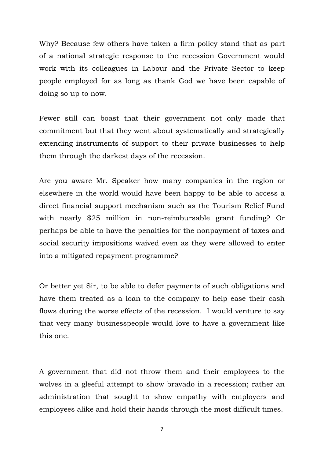Why? Because few others have taken a firm policy stand that as part of a national strategic response to the recession Government would work with its colleagues in Labour and the Private Sector to keep people employed for as long as thank God we have been capable of doing so up to now.

Fewer still can boast that their government not only made that commitment but that they went about systematically and strategically extending instruments of support to their private businesses to help them through the darkest days of the recession.

Are you aware Mr. Speaker how many companies in the region or elsewhere in the world would have been happy to be able to access a direct financial support mechanism such as the Tourism Relief Fund with nearly \$25 million in non-reimbursable grant funding? Or perhaps be able to have the penalties for the nonpayment of taxes and social security impositions waived even as they were allowed to enter into a mitigated repayment programme?

Or better yet Sir, to be able to defer payments of such obligations and have them treated as a loan to the company to help ease their cash flows during the worse effects of the recession. I would venture to say that very many businesspeople would love to have a government like this one.

A government that did not throw them and their employees to the wolves in a gleeful attempt to show bravado in a recession; rather an administration that sought to show empathy with employers and employees alike and hold their hands through the most difficult times.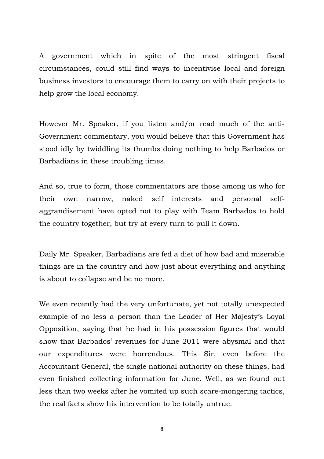A government which in spite of the most stringent fiscal circumstances, could still find ways to incentivise local and foreign business investors to encourage them to carry on with their projects to help grow the local economy.

However Mr. Speaker, if you listen and/or read much of the anti-Government commentary, you would believe that this Government has stood idly by twiddling its thumbs doing nothing to help Barbados or Barbadians in these troubling times.

And so, true to form, those commentators are those among us who for their own narrow, naked self interests and personal selfaggrandisement have opted not to play with Team Barbados to hold the country together, but try at every turn to pull it down.

Daily Mr. Speaker, Barbadians are fed a diet of how bad and miserable things are in the country and how just about everything and anything is about to collapse and be no more.

We even recently had the very unfortunate, yet not totally unexpected example of no less a person than the Leader of Her Majesty's Loyal Opposition, saying that he had in his possession figures that would show that Barbados' revenues for June 2011 were abysmal and that our expenditures were horrendous. This Sir, even before the Accountant General, the single national authority on these things, had even finished collecting information for June. Well, as we found out less than two weeks after he vomited up such scare-mongering tactics, the real facts show his intervention to be totally untrue.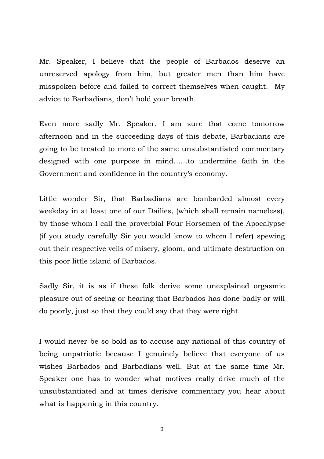Mr. Speaker, I believe that the people of Barbados deserve an unreserved apology from him, but greater men than him have misspoken before and failed to correct themselves when caught. My advice to Barbadians, don't hold your breath.

Even more sadly Mr. Speaker, I am sure that come tomorrow afternoon and in the succeeding days of this debate, Barbadians are going to be treated to more of the same unsubstantiated commentary designed with one purpose in mind……to undermine faith in the Government and confidence in the country's economy.

Little wonder Sir, that Barbadians are bombarded almost every weekday in at least one of our Dailies, (which shall remain nameless), by those whom I call the proverbial Four Horsemen of the Apocalypse (if you study carefully Sir you would know to whom I refer) spewing out their respective veils of misery, gloom, and ultimate destruction on this poor little island of Barbados.

Sadly Sir, it is as if these folk derive some unexplained orgasmic pleasure out of seeing or hearing that Barbados has done badly or will do poorly, just so that they could say that they were right.

I would never be so bold as to accuse any national of this country of being unpatriotic because I genuinely believe that everyone of us wishes Barbados and Barbadians well. But at the same time Mr. Speaker one has to wonder what motives really drive much of the unsubstantiated and at times derisive commentary you hear about what is happening in this country.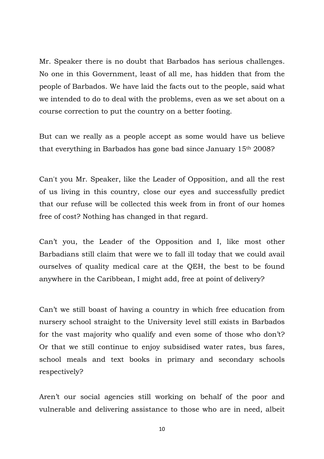Mr. Speaker there is no doubt that Barbados has serious challenges. No one in this Government, least of all me, has hidden that from the people of Barbados. We have laid the facts out to the people, said what we intended to do to deal with the problems, even as we set about on a course correction to put the country on a better footing.

But can we really as a people accept as some would have us believe that everything in Barbados has gone bad since January 15th 2008?

Can't you Mr. Speaker, like the Leader of Opposition, and all the rest of us living in this country, close our eyes and successfully predict that our refuse will be collected this week from in front of our homes free of cost? Nothing has changed in that regard.

Can't you, the Leader of the Opposition and I, like most other Barbadians still claim that were we to fall ill today that we could avail ourselves of quality medical care at the QEH, the best to be found anywhere in the Caribbean, I might add, free at point of delivery?

Can't we still boast of having a country in which free education from nursery school straight to the University level still exists in Barbados for the vast majority who qualify and even some of those who don't? Or that we still continue to enjoy subsidised water rates, bus fares, school meals and text books in primary and secondary schools respectively?

Aren't our social agencies still working on behalf of the poor and vulnerable and delivering assistance to those who are in need, albeit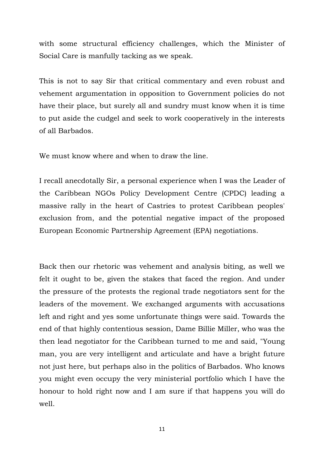with some structural efficiency challenges, which the Minister of Social Care is manfully tacking as we speak.

This is not to say Sir that critical commentary and even robust and vehement argumentation in opposition to Government policies do not have their place, but surely all and sundry must know when it is time to put aside the cudgel and seek to work cooperatively in the interests of all Barbados.

We must know where and when to draw the line.

I recall anecdotally Sir, a personal experience when I was the Leader of the Caribbean NGOs Policy Development Centre (CPDC) leading a massive rally in the heart of Castries to protest Caribbean peoples' exclusion from, and the potential negative impact of the proposed European Economic Partnership Agreement (EPA) negotiations.

Back then our rhetoric was vehement and analysis biting, as well we felt it ought to be, given the stakes that faced the region. And under the pressure of the protests the regional trade negotiators sent for the leaders of the movement. We exchanged arguments with accusations left and right and yes some unfortunate things were said. Towards the end of that highly contentious session, Dame Billie Miller, who was the then lead negotiator for the Caribbean turned to me and said, "Young man, you are very intelligent and articulate and have a bright future not just here, but perhaps also in the politics of Barbados. Who knows you might even occupy the very ministerial portfolio which I have the honour to hold right now and I am sure if that happens you will do well.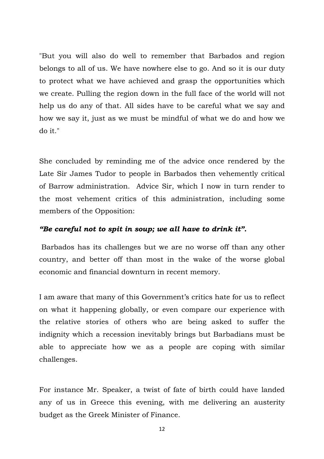"But you will also do well to remember that Barbados and region belongs to all of us. We have nowhere else to go. And so it is our duty to protect what we have achieved and grasp the opportunities which we create. Pulling the region down in the full face of the world will not help us do any of that. All sides have to be careful what we say and how we say it, just as we must be mindful of what we do and how we do it."

She concluded by reminding me of the advice once rendered by the Late Sir James Tudor to people in Barbados then vehemently critical of Barrow administration. Advice Sir, which I now in turn render to the most vehement critics of this administration, including some members of the Opposition:

## *"Be careful not to spit in soup; we all have to drink it".*

 Barbados has its challenges but we are no worse off than any other country, and better off than most in the wake of the worse global economic and financial downturn in recent memory.

I am aware that many of this Government's critics hate for us to reflect on what it happening globally, or even compare our experience with the relative stories of others who are being asked to suffer the indignity which a recession inevitably brings but Barbadians must be able to appreciate how we as a people are coping with similar challenges.

For instance Mr. Speaker, a twist of fate of birth could have landed any of us in Greece this evening, with me delivering an austerity budget as the Greek Minister of Finance.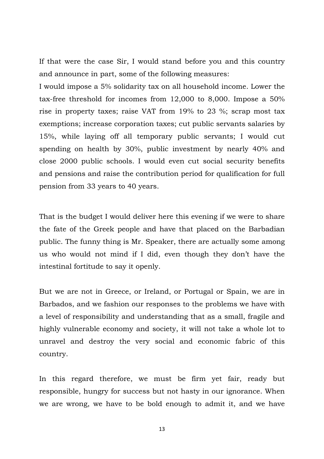If that were the case Sir, I would stand before you and this country and announce in part, some of the following measures:

I would impose a 5% solidarity tax on all household income. Lower the tax-free threshold for incomes from 12,000 to 8,000. Impose a 50% rise in property taxes; raise VAT from 19% to 23 %; scrap most tax exemptions; increase corporation taxes; cut public servants salaries by 15%, while laying off all temporary public servants; I would cut spending on health by 30%, public investment by nearly 40% and close 2000 public schools. I would even cut social security benefits and pensions and raise the contribution period for qualification for full pension from 33 years to 40 years.

That is the budget I would deliver here this evening if we were to share the fate of the Greek people and have that placed on the Barbadian public. The funny thing is Mr. Speaker, there are actually some among us who would not mind if I did, even though they don't have the intestinal fortitude to say it openly.

But we are not in Greece, or Ireland, or Portugal or Spain, we are in Barbados, and we fashion our responses to the problems we have with a level of responsibility and understanding that as a small, fragile and highly vulnerable economy and society, it will not take a whole lot to unravel and destroy the very social and economic fabric of this country.

In this regard therefore, we must be firm yet fair, ready but responsible, hungry for success but not hasty in our ignorance. When we are wrong, we have to be bold enough to admit it, and we have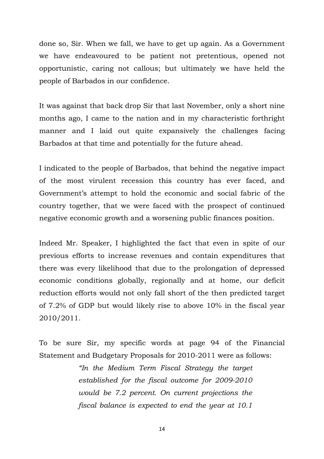done so, Sir. When we fall, we have to get up again. As a Government we have endeavoured to be patient not pretentious, opened not opportunistic, caring not callous; but ultimately we have held the people of Barbados in our confidence.

It was against that back drop Sir that last November, only a short nine months ago, I came to the nation and in my characteristic forthright manner and I laid out quite expansively the challenges facing Barbados at that time and potentially for the future ahead.

I indicated to the people of Barbados, that behind the negative impact of the most virulent recession this country has ever faced, and Government's attempt to hold the economic and social fabric of the country together, that we were faced with the prospect of continued negative economic growth and a worsening public finances position.

Indeed Mr. Speaker, I highlighted the fact that even in spite of our previous efforts to increase revenues and contain expenditures that there was every likelihood that due to the prolongation of depressed economic conditions globally, regionally and at home, our deficit reduction efforts would not only fall short of the then predicted target of 7.2% of GDP but would likely rise to above 10% in the fiscal year 2010/2011.

To be sure Sir, my specific words at page 94 of the Financial Statement and Budgetary Proposals for 2010-2011 were as follows:

> *"In the Medium Term Fiscal Strategy the target established for the fiscal outcome for 2009-2010 would be 7.2 percent. On current projections the fiscal balance is expected to end the year at 10.1*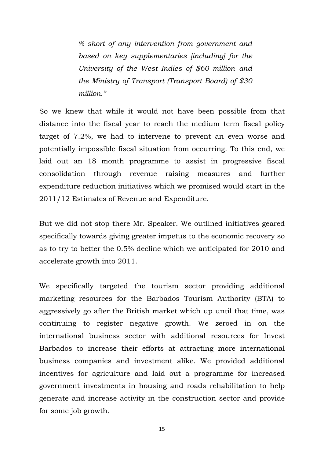*% short of any intervention from government and based on key supplementaries [including] for the University of the West Indies of \$60 million and the Ministry of Transport (Transport Board) of \$30 million."*

So we knew that while it would not have been possible from that distance into the fiscal year to reach the medium term fiscal policy target of 7.2%, we had to intervene to prevent an even worse and potentially impossible fiscal situation from occurring. To this end, we laid out an 18 month programme to assist in progressive fiscal consolidation through revenue raising measures and further expenditure reduction initiatives which we promised would start in the 2011/12 Estimates of Revenue and Expenditure.

But we did not stop there Mr. Speaker. We outlined initiatives geared specifically towards giving greater impetus to the economic recovery so as to try to better the 0.5% decline which we anticipated for 2010 and accelerate growth into 2011.

We specifically targeted the tourism sector providing additional marketing resources for the Barbados Tourism Authority (BTA) to aggressively go after the British market which up until that time, was continuing to register negative growth. We zeroed in on the international business sector with additional resources for Invest Barbados to increase their efforts at attracting more international business companies and investment alike. We provided additional incentives for agriculture and laid out a programme for increased government investments in housing and roads rehabilitation to help generate and increase activity in the construction sector and provide for some job growth.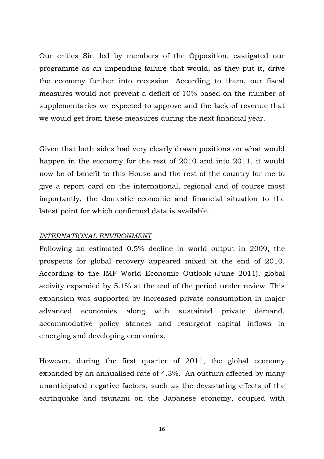Our critics Sir, led by members of the Opposition, castigated our programme as an impending failure that would, as they put it, drive the economy further into recession. According to them, our fiscal measures would not prevent a deficit of 10% based on the number of supplementaries we expected to approve and the lack of revenue that we would get from these measures during the next financial year.

Given that both sides had very clearly drawn positions on what would happen in the economy for the rest of 2010 and into 2011, it would now be of benefit to this House and the rest of the country for me to give a report card on the international, regional and of course most importantly, the domestic economic and financial situation to the latest point for which confirmed data is available.

### *INTERNATIONAL ENVIRONMENT*

Following an estimated 0.5% decline in world output in 2009, the prospects for global recovery appeared mixed at the end of 2010. According to the IMF World Economic Outlook (June 2011), global activity expanded by 5.1% at the end of the period under review. This expansion was supported by increased private consumption in major advanced economies along with sustained private demand, accommodative policy stances and resurgent capital inflows in emerging and developing economies.

However, during the first quarter of 2011, the global economy expanded by an annualised rate of 4.3%. An outturn affected by many unanticipated negative factors, such as the devastating effects of the earthquake and tsunami on the Japanese economy, coupled with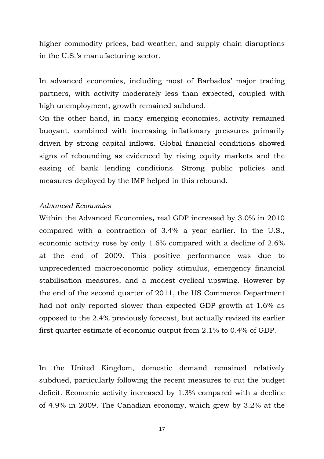higher commodity prices, bad weather, and supply chain disruptions in the U.S.'s manufacturing sector.

In advanced economies, including most of Barbados' major trading partners, with activity moderately less than expected, coupled with high unemployment, growth remained subdued.

On the other hand, in many emerging economies, activity remained buoyant, combined with increasing inflationary pressures primarily driven by strong capital inflows. Global financial conditions showed signs of rebounding as evidenced by rising equity markets and the easing of bank lending conditions. Strong public policies and measures deployed by the IMF helped in this rebound.

#### *Advanced Economies*

Within the Advanced Economies**,** real GDP increased by 3.0% in 2010 compared with a contraction of 3.4% a year earlier. In the U.S., economic activity rose by only 1.6% compared with a decline of 2.6% at the end of 2009. This positive performance was due to unprecedented macroeconomic policy stimulus, emergency financial stabilisation measures, and a modest cyclical upswing. However by the end of the second quarter of 2011, the US Commerce Department had not only reported slower than expected GDP growth at 1.6% as opposed to the 2.4% previously forecast, but actually revised its earlier first quarter estimate of economic output from 2.1% to 0.4% of GDP.

In the United Kingdom, domestic demand remained relatively subdued, particularly following the recent measures to cut the budget deficit. Economic activity increased by 1.3% compared with a decline of 4.9% in 2009. The Canadian economy, which grew by 3.2% at the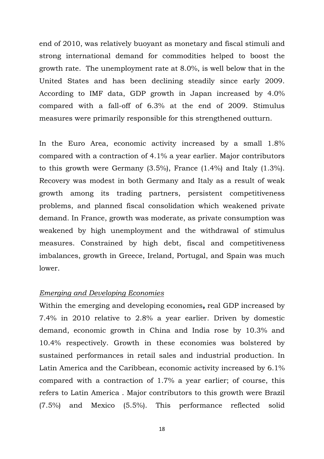end of 2010, was relatively buoyant as monetary and fiscal stimuli and strong international demand for commodities helped to boost the growth rate. The unemployment rate at 8.0%, is well below that in the United States and has been declining steadily since early 2009. According to IMF data, GDP growth in Japan increased by 4.0% compared with a fall-off of 6.3% at the end of 2009. Stimulus measures were primarily responsible for this strengthened outturn.

In the Euro Area, economic activity increased by a small 1.8% compared with a contraction of 4.1% a year earlier. Major contributors to this growth were Germany (3.5%), France (1.4%) and Italy (1.3%). Recovery was modest in both Germany and Italy as a result of weak growth among its trading partners, persistent competitiveness problems, and planned fiscal consolidation which weakened private demand. In France, growth was moderate, as private consumption was weakened by high unemployment and the withdrawal of stimulus measures. Constrained by high debt, fiscal and competitiveness imbalances, growth in Greece, Ireland, Portugal, and Spain was much lower.

### *Emerging and Developing Economies*

Within the emerging and developing economies**,** real GDP increased by 7.4% in 2010 relative to 2.8% a year earlier. Driven by domestic demand, economic growth in China and India rose by 10.3% and 10.4% respectively. Growth in these economies was bolstered by sustained performances in retail sales and industrial production. In Latin America and the Caribbean, economic activity increased by 6.1% compared with a contraction of 1.7% a year earlier; of course, this refers to Latin America . Major contributors to this growth were Brazil (7.5%) and Mexico (5.5%). This performance reflected solid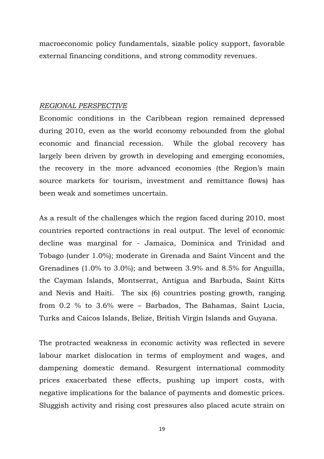macroeconomic policy fundamentals, sizable policy support, favorable external financing conditions, and strong commodity revenues.

#### *REGIONAL PERSPECTIVE*

Economic conditions in the Caribbean region remained depressed during 2010, even as the world economy rebounded from the global economic and financial recession. While the global recovery has largely been driven by growth in developing and emerging economies, the recovery in the more advanced economies (the Region's main source markets for tourism, investment and remittance flows) has been weak and sometimes uncertain.

As a result of the challenges which the region faced during 2010, most countries reported contractions in real output. The level of economic decline was marginal for - Jamaica, Dominica and Trinidad and Tobago (under 1.0%); moderate in Grenada and Saint Vincent and the Grenadines (1.0% to 3.0%); and between 3.9% and 8.5% for Anguilla, the Cayman Islands, Montserrat, Antigua and Barbuda, Saint Kitts and Nevis and Haiti. The six (6) countries posting growth, ranging from 0.2 % to 3.6% were – Barbados, The Bahamas, Saint Lucia, Turks and Caicos Islands, Belize, British Virgin Islands and Guyana.

The protracted weakness in economic activity was reflected in severe labour market dislocation in terms of employment and wages, and dampening domestic demand. Resurgent international commodity prices exacerbated these effects, pushing up import costs, with negative implications for the balance of payments and domestic prices. Sluggish activity and rising cost pressures also placed acute strain on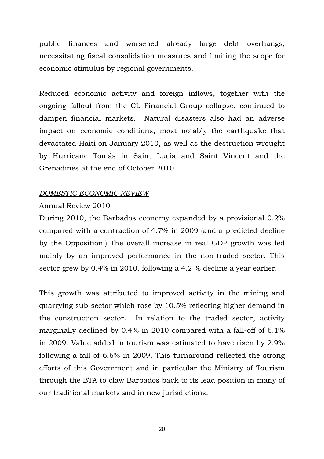public finances and worsened already large debt overhangs, necessitating fiscal consolidation measures and limiting the scope for economic stimulus by regional governments.

Reduced economic activity and foreign inflows, together with the ongoing fallout from the CL Financial Group collapse, continued to dampen financial markets. Natural disasters also had an adverse impact on economic conditions, most notably the earthquake that devastated Haiti on January 2010, as well as the destruction wrought by Hurricane Tomás in Saint Lucia and Saint Vincent and the Grenadines at the end of October 2010.

## *DOMESTIC ECONOMIC REVIEW*

## Annual Review 2010

During 2010, the Barbados economy expanded by a provisional 0.2% compared with a contraction of 4.7% in 2009 (and a predicted decline by the Opposition!) The overall increase in real GDP growth was led mainly by an improved performance in the non-traded sector. This sector grew by 0.4% in 2010, following a 4.2 % decline a year earlier.

This growth was attributed to improved activity in the mining and quarrying sub-sector which rose by 10.5% reflecting higher demand in the construction sector. In relation to the traded sector, activity marginally declined by 0.4% in 2010 compared with a fall-off of 6.1% in 2009. Value added in tourism was estimated to have risen by 2.9% following a fall of 6.6% in 2009. This turnaround reflected the strong efforts of this Government and in particular the Ministry of Tourism through the BTA to claw Barbados back to its lead position in many of our traditional markets and in new jurisdictions.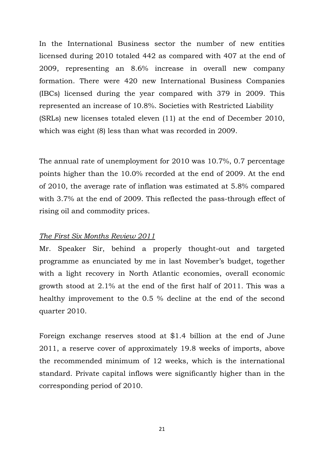In the International Business sector the number of new entities licensed during 2010 totaled 442 as compared with 407 at the end of 2009, representing an 8.6% increase in overall new company formation. There were 420 new International Business Companies (IBCs) licensed during the year compared with 379 in 2009. This represented an increase of 10.8%. Societies with Restricted Liability (SRLs) new licenses totaled eleven (11) at the end of December 2010, which was eight (8) less than what was recorded in 2009.

The annual rate of unemployment for 2010 was 10.7%, 0.7 percentage points higher than the 10.0% recorded at the end of 2009. At the end of 2010, the average rate of inflation was estimated at 5.8% compared with 3.7% at the end of 2009. This reflected the pass-through effect of rising oil and commodity prices.

### *The First Six Months Review 2011*

Mr. Speaker Sir, behind a properly thought-out and targeted programme as enunciated by me in last November's budget, together with a light recovery in North Atlantic economies, overall economic growth stood at 2.1% at the end of the first half of 2011. This was a healthy improvement to the 0.5 % decline at the end of the second quarter 2010.

Foreign exchange reserves stood at \$1.4 billion at the end of June 2011, a reserve cover of approximately 19.8 weeks of imports, above the recommended minimum of 12 weeks, which is the international standard. Private capital inflows were significantly higher than in the corresponding period of 2010.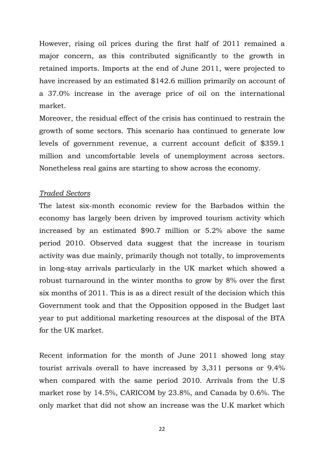However, rising oil prices during the first half of 2011 remained a major concern, as this contributed significantly to the growth in retained imports. Imports at the end of June 2011, were projected to have increased by an estimated \$142.6 million primarily on account of a 37.0% increase in the average price of oil on the international market.

Moreover, the residual effect of the crisis has continued to restrain the growth of some sectors. This scenario has continued to generate low levels of government revenue, a current account deficit of \$359.1 million and uncomfortable levels of unemployment across sectors. Nonetheless real gains are starting to show across the economy.

## *Traded Sectors*

The latest six-month economic review for the Barbados within the economy has largely been driven by improved tourism activity which increased by an estimated \$90.7 million or 5.2% above the same period 2010. Observed data suggest that the increase in tourism activity was due mainly, primarily though not totally, to improvements in long-stay arrivals particularly in the UK market which showed a robust turnaround in the winter months to grow by 8% over the first six months of 2011. This is as a direct result of the decision which this Government took and that the Opposition opposed in the Budget last year to put additional marketing resources at the disposal of the BTA for the UK market.

Recent information for the month of June 2011 showed long stay tourist arrivals overall to have increased by 3,311 persons or 9.4% when compared with the same period 2010. Arrivals from the U.S market rose by 14.5%, CARICOM by 23.8%, and Canada by 0.6%. The only market that did not show an increase was the U.K market which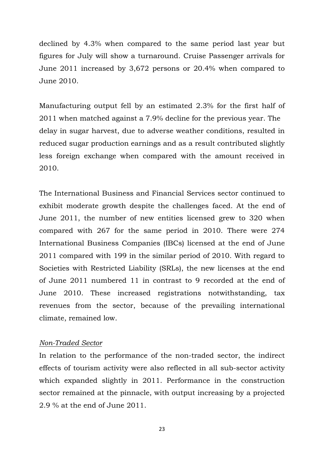declined by 4.3% when compared to the same period last year but figures for July will show a turnaround. Cruise Passenger arrivals for June 2011 increased by 3,672 persons or 20.4% when compared to June 2010.

Manufacturing output fell by an estimated 2.3% for the first half of 2011 when matched against a 7.9% decline for the previous year. The delay in sugar harvest, due to adverse weather conditions, resulted in reduced sugar production earnings and as a result contributed slightly less foreign exchange when compared with the amount received in 2010.

The International Business and Financial Services sector continued to exhibit moderate growth despite the challenges faced. At the end of June 2011, the number of new entities licensed grew to 320 when compared with 267 for the same period in 2010. There were 274 International Business Companies (IBCs) licensed at the end of June 2011 compared with 199 in the similar period of 2010. With regard to Societies with Restricted Liability (SRLs), the new licenses at the end of June 2011 numbered 11 in contrast to 9 recorded at the end of June 2010. These increased registrations notwithstanding, tax revenues from the sector, because of the prevailing international climate, remained low.

### *Non-Traded Sector*

In relation to the performance of the non-traded sector, the indirect effects of tourism activity were also reflected in all sub-sector activity which expanded slightly in 2011. Performance in the construction sector remained at the pinnacle, with output increasing by a projected 2.9 % at the end of June 2011.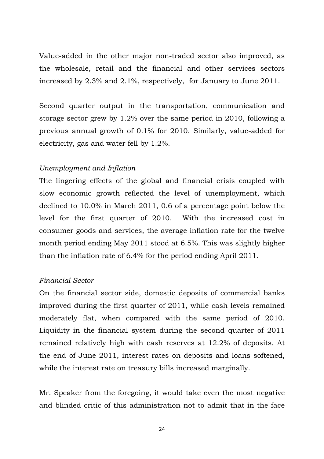Value-added in the other major non-traded sector also improved, as the wholesale, retail and the financial and other services sectors increased by 2.3% and 2.1%, respectively, for January to June 2011.

Second quarter output in the transportation, communication and storage sector grew by 1.2% over the same period in 2010, following a previous annual growth of 0.1% for 2010. Similarly, value-added for electricity, gas and water fell by 1.2%.

## *Unemployment and Inflation*

The lingering effects of the global and financial crisis coupled with slow economic growth reflected the level of unemployment, which declined to 10.0% in March 2011, 0.6 of a percentage point below the level for the first quarter of 2010. With the increased cost in consumer goods and services, the average inflation rate for the twelve month period ending May 2011 stood at 6.5%. This was slightly higher than the inflation rate of 6.4% for the period ending April 2011.

### *Financial Sector*

On the financial sector side, domestic deposits of commercial banks improved during the first quarter of 2011, while cash levels remained moderately flat, when compared with the same period of 2010. Liquidity in the financial system during the second quarter of 2011 remained relatively high with cash reserves at 12.2% of deposits. At the end of June 2011, interest rates on deposits and loans softened, while the interest rate on treasury bills increased marginally.

Mr. Speaker from the foregoing, it would take even the most negative and blinded critic of this administration not to admit that in the face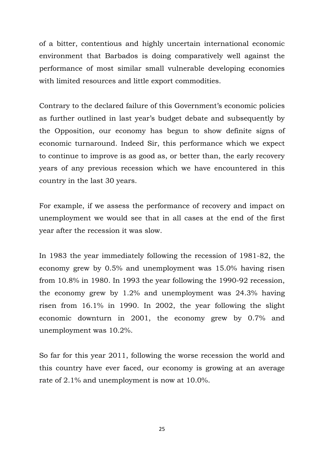of a bitter, contentious and highly uncertain international economic environment that Barbados is doing comparatively well against the performance of most similar small vulnerable developing economies with limited resources and little export commodities.

Contrary to the declared failure of this Government's economic policies as further outlined in last year's budget debate and subsequently by the Opposition, our economy has begun to show definite signs of economic turnaround. Indeed Sir, this performance which we expect to continue to improve is as good as, or better than, the early recovery years of any previous recession which we have encountered in this country in the last 30 years.

For example, if we assess the performance of recovery and impact on unemployment we would see that in all cases at the end of the first year after the recession it was slow.

In 1983 the year immediately following the recession of 1981-82, the economy grew by 0.5% and unemployment was 15.0% having risen from 10.8% in 1980. In 1993 the year following the 1990-92 recession, the economy grew by 1.2% and unemployment was 24.3% having risen from 16.1% in 1990. In 2002, the year following the slight economic downturn in 2001, the economy grew by 0.7% and unemployment was 10.2%.

So far for this year 2011, following the worse recession the world and this country have ever faced, our economy is growing at an average rate of 2.1% and unemployment is now at 10.0%.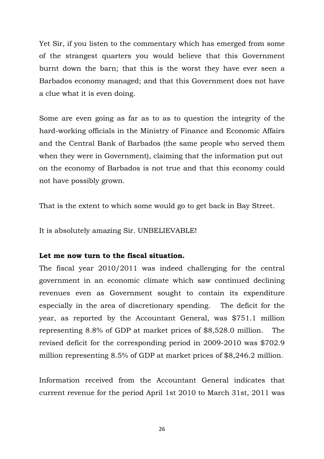Yet Sir, if you listen to the commentary which has emerged from some of the strangest quarters you would believe that this Government burnt down the barn; that this is the worst they have ever seen a Barbados economy managed; and that this Government does not have a clue what it is even doing.

Some are even going as far as to as to question the integrity of the hard-working officials in the Ministry of Finance and Economic Affairs and the Central Bank of Barbados (the same people who served them when they were in Government), claiming that the information put out on the economy of Barbados is not true and that this economy could not have possibly grown.

That is the extent to which some would go to get back in Bay Street.

It is absolutely amazing Sir. UNBELIEVABLE!

### **Let me now turn to the fiscal situation.**

The fiscal year 2010/2011 was indeed challenging for the central government in an economic climate which saw continued declining revenues even as Government sought to contain its expenditure especially in the area of discretionary spending. The deficit for the year, as reported by the Accountant General, was \$751.1 million representing 8.8% of GDP at market prices of \$8,528.0 million. The revised deficit for the corresponding period in 2009-2010 was \$702.9 million representing 8.5% of GDP at market prices of \$8,246.2 million.

Information received from the Accountant General indicates that current revenue for the period April 1st 2010 to March 31st, 2011 was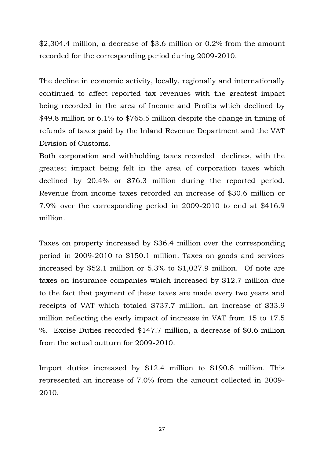\$2,304.4 million, a decrease of \$3.6 million or 0.2% from the amount recorded for the corresponding period during 2009-2010.

The decline in economic activity, locally, regionally and internationally continued to affect reported tax revenues with the greatest impact being recorded in the area of Income and Profits which declined by \$49.8 million or 6.1% to \$765.5 million despite the change in timing of refunds of taxes paid by the Inland Revenue Department and the VAT Division of Customs.

Both corporation and withholding taxes recorded declines, with the greatest impact being felt in the area of corporation taxes which declined by 20.4% or \$76.3 million during the reported period. Revenue from income taxes recorded an increase of \$30.6 million or 7.9% over the corresponding period in 2009-2010 to end at \$416.9 million.

Taxes on property increased by \$36.4 million over the corresponding period in 2009-2010 to \$150.1 million. Taxes on goods and services increased by \$52.1 million or 5.3% to \$1,027.9 million. Of note are taxes on insurance companies which increased by \$12.7 million due to the fact that payment of these taxes are made every two years and receipts of VAT which totaled \$737.7 million, an increase of \$33.9 million reflecting the early impact of increase in VAT from 15 to 17.5 %. Excise Duties recorded \$147.7 million, a decrease of \$0.6 million from the actual outturn for 2009-2010.

Import duties increased by \$12.4 million to \$190.8 million. This represented an increase of 7.0% from the amount collected in 2009- 2010.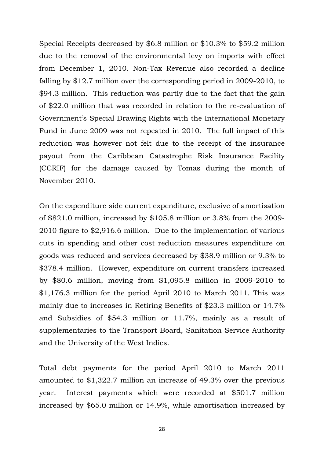Special Receipts decreased by \$6.8 million or \$10.3% to \$59.2 million due to the removal of the environmental levy on imports with effect from December 1, 2010. Non-Tax Revenue also recorded a decline falling by \$12.7 million over the corresponding period in 2009-2010, to \$94.3 million. This reduction was partly due to the fact that the gain of \$22.0 million that was recorded in relation to the re-evaluation of Government's Special Drawing Rights with the International Monetary Fund in June 2009 was not repeated in 2010. The full impact of this reduction was however not felt due to the receipt of the insurance payout from the Caribbean Catastrophe Risk Insurance Facility (CCRIF) for the damage caused by Tomas during the month of November 2010.

On the expenditure side current expenditure, exclusive of amortisation of \$821.0 million, increased by \$105.8 million or 3.8% from the 2009- 2010 figure to \$2,916.6 million. Due to the implementation of various cuts in spending and other cost reduction measures expenditure on goods was reduced and services decreased by \$38.9 million or 9.3% to \$378.4 million. However, expenditure on current transfers increased by \$80.6 million, moving from \$1,095.8 million in 2009-2010 to \$1,176.3 million for the period April 2010 to March 2011. This was mainly due to increases in Retiring Benefits of \$23.3 million or 14.7% and Subsidies of \$54.3 million or 11.7%, mainly as a result of supplementaries to the Transport Board, Sanitation Service Authority and the University of the West Indies.

Total debt payments for the period April 2010 to March 2011 amounted to \$1,322.7 million an increase of 49.3% over the previous year. Interest payments which were recorded at \$501.7 million increased by \$65.0 million or 14.9%, while amortisation increased by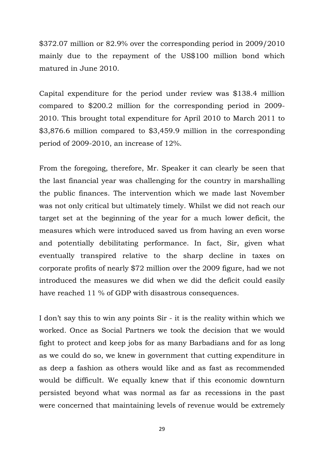\$372.07 million or 82.9% over the corresponding period in 2009/2010 mainly due to the repayment of the US\$100 million bond which matured in June 2010.

Capital expenditure for the period under review was \$138.4 million compared to \$200.2 million for the corresponding period in 2009- 2010. This brought total expenditure for April 2010 to March 2011 to \$3,876.6 million compared to \$3,459.9 million in the corresponding period of 2009-2010, an increase of 12%.

From the foregoing, therefore, Mr. Speaker it can clearly be seen that the last financial year was challenging for the country in marshalling the public finances. The intervention which we made last November was not only critical but ultimately timely. Whilst we did not reach our target set at the beginning of the year for a much lower deficit, the measures which were introduced saved us from having an even worse and potentially debilitating performance. In fact, Sir, given what eventually transpired relative to the sharp decline in taxes on corporate profits of nearly \$72 million over the 2009 figure, had we not introduced the measures we did when we did the deficit could easily have reached 11 % of GDP with disastrous consequences.

I don't say this to win any points Sir - it is the reality within which we worked. Once as Social Partners we took the decision that we would fight to protect and keep jobs for as many Barbadians and for as long as we could do so, we knew in government that cutting expenditure in as deep a fashion as others would like and as fast as recommended would be difficult. We equally knew that if this economic downturn persisted beyond what was normal as far as recessions in the past were concerned that maintaining levels of revenue would be extremely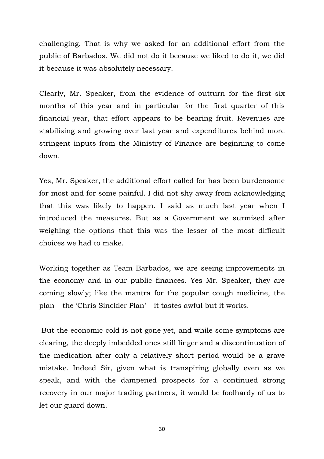challenging. That is why we asked for an additional effort from the public of Barbados. We did not do it because we liked to do it, we did it because it was absolutely necessary.

Clearly, Mr. Speaker, from the evidence of outturn for the first six months of this year and in particular for the first quarter of this financial year, that effort appears to be bearing fruit. Revenues are stabilising and growing over last year and expenditures behind more stringent inputs from the Ministry of Finance are beginning to come down.

Yes, Mr. Speaker, the additional effort called for has been burdensome for most and for some painful. I did not shy away from acknowledging that this was likely to happen. I said as much last year when I introduced the measures. But as a Government we surmised after weighing the options that this was the lesser of the most difficult choices we had to make.

Working together as Team Barbados, we are seeing improvements in the economy and in our public finances. Yes Mr. Speaker, they are coming slowly; like the mantra for the popular cough medicine, the plan – the 'Chris Sinckler Plan' – it tastes awful but it works.

 But the economic cold is not gone yet, and while some symptoms are clearing, the deeply imbedded ones still linger and a discontinuation of the medication after only a relatively short period would be a grave mistake. Indeed Sir, given what is transpiring globally even as we speak, and with the dampened prospects for a continued strong recovery in our major trading partners, it would be foolhardy of us to let our guard down.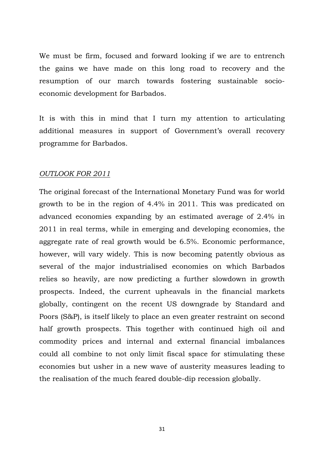We must be firm, focused and forward looking if we are to entrench the gains we have made on this long road to recovery and the resumption of our march towards fostering sustainable socioeconomic development for Barbados.

It is with this in mind that I turn my attention to articulating additional measures in support of Government's overall recovery programme for Barbados.

## *OUTLOOK FOR 2011*

The original forecast of the International Monetary Fund was for world growth to be in the region of 4.4% in 2011. This was predicated on advanced economies expanding by an estimated average of 2.4% in 2011 in real terms, while in emerging and developing economies, the aggregate rate of real growth would be 6.5%. Economic performance, however, will vary widely. This is now becoming patently obvious as several of the major industrialised economies on which Barbados relies so heavily, are now predicting a further slowdown in growth prospects. Indeed, the current upheavals in the financial markets globally, contingent on the recent US downgrade by Standard and Poors (S&P), is itself likely to place an even greater restraint on second half growth prospects. This together with continued high oil and commodity prices and internal and external financial imbalances could all combine to not only limit fiscal space for stimulating these economies but usher in a new wave of austerity measures leading to the realisation of the much feared double-dip recession globally.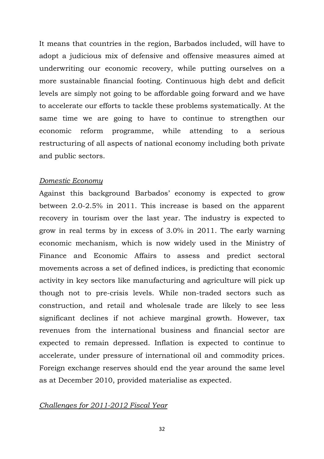It means that countries in the region, Barbados included, will have to adopt a judicious mix of defensive and offensive measures aimed at underwriting our economic recovery, while putting ourselves on a more sustainable financial footing. Continuous high debt and deficit levels are simply not going to be affordable going forward and we have to accelerate our efforts to tackle these problems systematically. At the same time we are going to have to continue to strengthen our economic reform programme, while attending to a serious restructuring of all aspects of national economy including both private and public sectors.

#### *Domestic Economy*

Against this background Barbados' economy is expected to grow between 2.0-2.5% in 2011. This increase is based on the apparent recovery in tourism over the last year. The industry is expected to grow in real terms by in excess of 3.0% in 2011. The early warning economic mechanism, which is now widely used in the Ministry of Finance and Economic Affairs to assess and predict sectoral movements across a set of defined indices, is predicting that economic activity in key sectors like manufacturing and agriculture will pick up though not to pre-crisis levels. While non-traded sectors such as construction, and retail and wholesale trade are likely to see less significant declines if not achieve marginal growth. However, tax revenues from the international business and financial sector are expected to remain depressed. Inflation is expected to continue to accelerate, under pressure of international oil and commodity prices. Foreign exchange reserves should end the year around the same level as at December 2010, provided materialise as expected.

#### *Challenges for 2011-2012 Fiscal Year*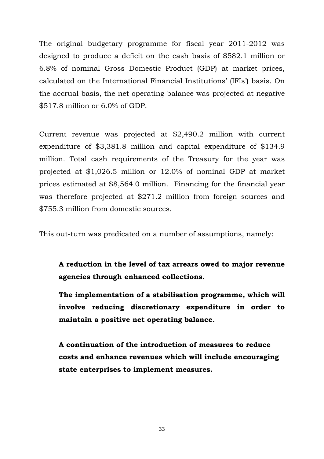The original budgetary programme for fiscal year 2011-2012 was designed to produce a deficit on the cash basis of \$582.1 million or 6.8% of nominal Gross Domestic Product (GDP) at market prices, calculated on the International Financial Institutions' (IFIs') basis. On the accrual basis, the net operating balance was projected at negative \$517.8 million or 6.0% of GDP.

Current revenue was projected at \$2,490.2 million with current expenditure of \$3,381.8 million and capital expenditure of \$134.9 million. Total cash requirements of the Treasury for the year was projected at \$1,026.5 million or 12.0% of nominal GDP at market prices estimated at \$8,564.0 million. Financing for the financial year was therefore projected at \$271.2 million from foreign sources and \$755.3 million from domestic sources.

This out-turn was predicated on a number of assumptions, namely:

**A reduction in the level of tax arrears owed to major revenue agencies through enhanced collections.** 

**The implementation of a stabilisation programme, which will involve reducing discretionary expenditure in order to maintain a positive net operating balance.**

**A continuation of the introduction of measures to reduce costs and enhance revenues which will include encouraging state enterprises to implement measures.**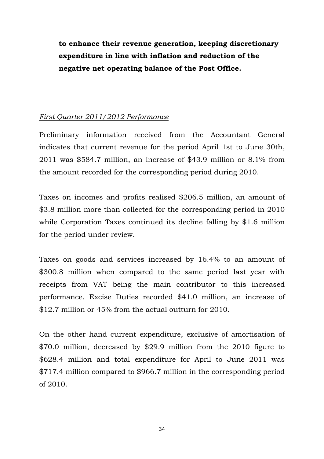**to enhance their revenue generation, keeping discretionary expenditure in line with inflation and reduction of the negative net operating balance of the Post Office.** 

## *First Quarter 2011/2012 Performance*

Preliminary information received from the Accountant General indicates that current revenue for the period April 1st to June 30th, 2011 was \$584.7 million, an increase of \$43.9 million or 8.1% from the amount recorded for the corresponding period during 2010.

Taxes on incomes and profits realised \$206.5 million, an amount of \$3.8 million more than collected for the corresponding period in 2010 while Corporation Taxes continued its decline falling by \$1.6 million for the period under review.

Taxes on goods and services increased by 16.4% to an amount of \$300.8 million when compared to the same period last year with receipts from VAT being the main contributor to this increased performance. Excise Duties recorded \$41.0 million, an increase of \$12.7 million or 45% from the actual outturn for 2010.

On the other hand current expenditure, exclusive of amortisation of \$70.0 million, decreased by \$29.9 million from the 2010 figure to \$628.4 million and total expenditure for April to June 2011 was \$717.4 million compared to \$966.7 million in the corresponding period of 2010.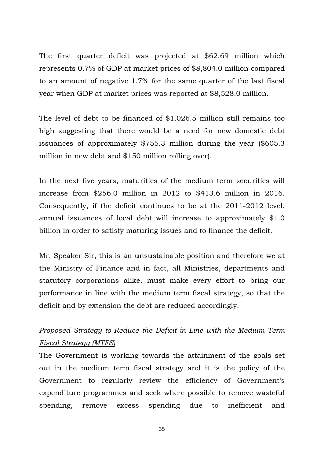The first quarter deficit was projected at \$62.69 million which represents 0.7% of GDP at market prices of \$8,804.0 million compared to an amount of negative 1.7% for the same quarter of the last fiscal year when GDP at market prices was reported at \$8,528.0 million.

The level of debt to be financed of \$1.026.5 million still remains too high suggesting that there would be a need for new domestic debt issuances of approximately \$755.3 million during the year (\$605.3 million in new debt and \$150 million rolling over).

In the next five years, maturities of the medium term securities will increase from \$256.0 million in 2012 to \$413.6 million in 2016. Consequently, if the deficit continues to be at the 2011-2012 level, annual issuances of local debt will increase to approximately \$1.0 billion in order to satisfy maturing issues and to finance the deficit.

Mr. Speaker Sir, this is an unsustainable position and therefore we at the Ministry of Finance and in fact, all Ministries, departments and statutory corporations alike, must make every effort to bring our performance in line with the medium term fiscal strategy, so that the deficit and by extension the debt are reduced accordingly.

## *Proposed Strategy to Reduce the Deficit in Line with the Medium Term Fiscal Strategy (MTFS)*

The Government is working towards the attainment of the goals set out in the medium term fiscal strategy and it is the policy of the Government to regularly review the efficiency of Government's expenditure programmes and seek where possible to remove wasteful spending, remove excess spending due to inefficient and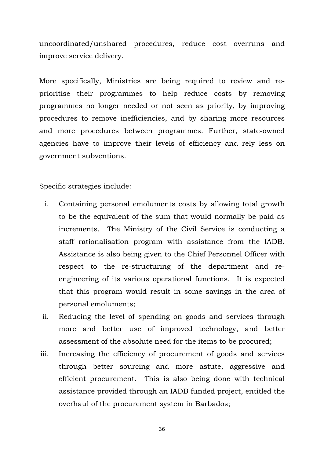uncoordinated/unshared procedures, reduce cost overruns and improve service delivery.

More specifically, Ministries are being required to review and reprioritise their programmes to help reduce costs by removing programmes no longer needed or not seen as priority, by improving procedures to remove inefficiencies, and by sharing more resources and more procedures between programmes. Further, state-owned agencies have to improve their levels of efficiency and rely less on government subventions.

Specific strategies include:

- i. Containing personal emoluments costs by allowing total growth to be the equivalent of the sum that would normally be paid as increments. The Ministry of the Civil Service is conducting a staff rationalisation program with assistance from the IADB. Assistance is also being given to the Chief Personnel Officer with respect to the re-structuring of the department and reengineering of its various operational functions. It is expected that this program would result in some savings in the area of personal emoluments;
- ii. Reducing the level of spending on goods and services through more and better use of improved technology, and better assessment of the absolute need for the items to be procured;
- iii. Increasing the efficiency of procurement of goods and services through better sourcing and more astute, aggressive and efficient procurement. This is also being done with technical assistance provided through an IADB funded project, entitled the overhaul of the procurement system in Barbados;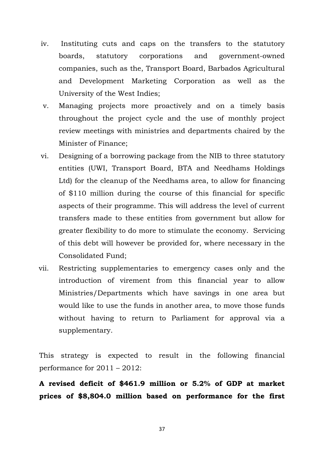- iv. Instituting cuts and caps on the transfers to the statutory boards, statutory corporations and government-owned companies, such as the, Transport Board, Barbados Agricultural and Development Marketing Corporation as well as the University of the West Indies;
- v. Managing projects more proactively and on a timely basis throughout the project cycle and the use of monthly project review meetings with ministries and departments chaired by the Minister of Finance;
- vi. Designing of a borrowing package from the NIB to three statutory entities (UWI, Transport Board, BTA and Needhams Holdings Ltd) for the cleanup of the Needhams area, to allow for financing of \$110 million during the course of this financial for specific aspects of their programme. This will address the level of current transfers made to these entities from government but allow for greater flexibility to do more to stimulate the economy. Servicing of this debt will however be provided for, where necessary in the Consolidated Fund;
- vii. Restricting supplementaries to emergency cases only and the introduction of virement from this financial year to allow Ministries/Departments which have savings in one area but would like to use the funds in another area, to move those funds without having to return to Parliament for approval via a supplementary.

This strategy is expected to result in the following financial performance for 2011 – 2012:

**A revised deficit of \$461.9 million or 5.2% of GDP at market prices of \$8,804.0 million based on performance for the first**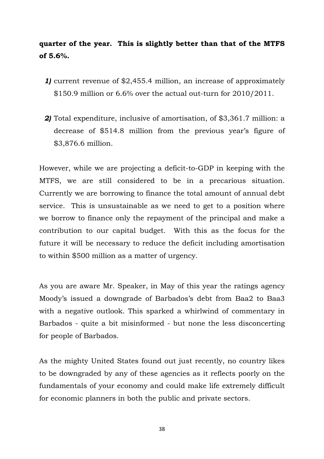## **quarter of the year. This is slightly better than that of the MTFS of 5.6%.**

- *1)* current revenue of \$2,455.4 million, an increase of approximately \$150.9 million or 6.6% over the actual out-turn for 2010/2011.
- *2)* Total expenditure, inclusive of amortisation, of \$3,361.7 million: a decrease of \$514.8 million from the previous year's figure of \$3,876.6 million.

However, while we are projecting a deficit-to-GDP in keeping with the MTFS, we are still considered to be in a precarious situation. Currently we are borrowing to finance the total amount of annual debt service. This is unsustainable as we need to get to a position where we borrow to finance only the repayment of the principal and make a contribution to our capital budget. With this as the focus for the future it will be necessary to reduce the deficit including amortisation to within \$500 million as a matter of urgency.

As you are aware Mr. Speaker, in May of this year the ratings agency Moody's issued a downgrade of Barbados's debt from Baa2 to Baa3 with a negative outlook. This sparked a whirlwind of commentary in Barbados - quite a bit misinformed - but none the less disconcerting for people of Barbados.

As the mighty United States found out just recently, no country likes to be downgraded by any of these agencies as it reflects poorly on the fundamentals of your economy and could make life extremely difficult for economic planners in both the public and private sectors.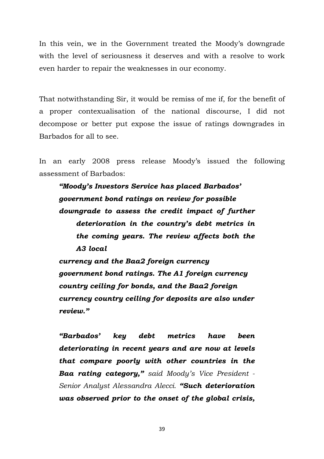In this vein, we in the Government treated the Moody's downgrade with the level of seriousness it deserves and with a resolve to work even harder to repair the weaknesses in our economy.

That notwithstanding Sir, it would be remiss of me if, for the benefit of a proper contexualisation of the national discourse, I did not decompose or better put expose the issue of ratings downgrades in Barbados for all to see.

In an early 2008 press release Moody's issued the following assessment of Barbados:

*"Moody's Investors Service has placed Barbados' government bond ratings on review for possible downgrade to assess the credit impact of further deterioration in the country's debt metrics in the coming years. The review affects both the A3 local* 

*currency and the Baa2 foreign currency government bond ratings. The A1 foreign currency country ceiling for bonds, and the Baa2 foreign currency country ceiling for deposits are also under review."* 

*"Barbados' key debt metrics have been deteriorating in recent years and are now at levels that compare poorly with other countries in the Baa rating category," said Moody's Vice President - Senior Analyst Alessandra Alecci. "Such deterioration was observed prior to the onset of the global crisis,*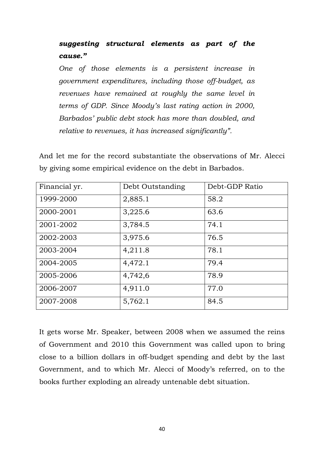## *suggesting structural elements as part of the cause."*

*One of those elements is a persistent increase in government expenditures, including those off-budget, as revenues have remained at roughly the same level in terms of GDP. Since Moody's last rating action in 2000, Barbados' public debt stock has more than doubled, and relative to revenues, it has increased significantly".*

And let me for the record substantiate the observations of Mr. Alecci by giving some empirical evidence on the debt in Barbados.

| Financial yr. | Debt Outstanding | Debt-GDP Ratio |
|---------------|------------------|----------------|
| 1999-2000     | 2,885.1          | 58.2           |
| 2000-2001     | 3,225.6          | 63.6           |
| 2001-2002     | 3,784.5          | 74.1           |
| 2002-2003     | 3,975.6          | 76.5           |
| 2003-2004     | 4,211.8          | 78.1           |
| 2004-2005     | 4,472.1          | 79.4           |
| 2005-2006     | 4,742,6          | 78.9           |
| 2006-2007     | 4,911.0          | 77.0           |
| 2007-2008     | 5,762.1          | 84.5           |

It gets worse Mr. Speaker, between 2008 when we assumed the reins of Government and 2010 this Government was called upon to bring close to a billion dollars in off-budget spending and debt by the last Government, and to which Mr. Alecci of Moody's referred, on to the books further exploding an already untenable debt situation.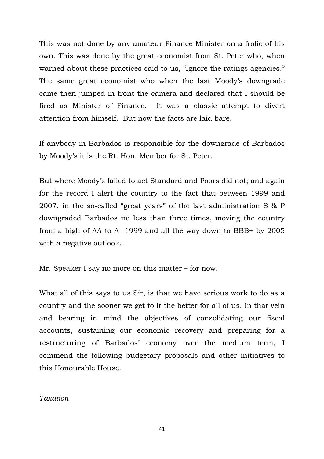This was not done by any amateur Finance Minister on a frolic of his own. This was done by the great economist from St. Peter who, when warned about these practices said to us, "Ignore the ratings agencies." The same great economist who when the last Moody's downgrade came then jumped in front the camera and declared that I should be fired as Minister of Finance. It was a classic attempt to divert attention from himself. But now the facts are laid bare.

If anybody in Barbados is responsible for the downgrade of Barbados by Moody's it is the Rt. Hon. Member for St. Peter.

But where Moody's failed to act Standard and Poors did not; and again for the record I alert the country to the fact that between 1999 and 2007, in the so-called "great years" of the last administration S & P downgraded Barbados no less than three times, moving the country from a high of AA to A- 1999 and all the way down to BBB+ by 2005 with a negative outlook.

Mr. Speaker I say no more on this matter – for now.

What all of this says to us Sir, is that we have serious work to do as a country and the sooner we get to it the better for all of us. In that vein and bearing in mind the objectives of consolidating our fiscal accounts, sustaining our economic recovery and preparing for a restructuring of Barbados' economy over the medium term, I commend the following budgetary proposals and other initiatives to this Honourable House.

#### *Taxation*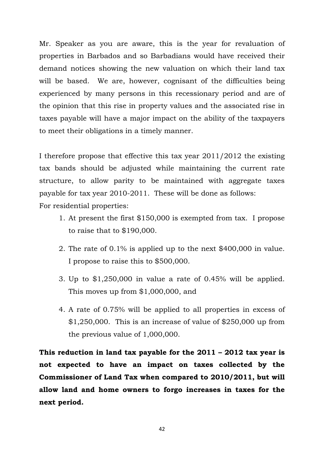Mr. Speaker as you are aware, this is the year for revaluation of properties in Barbados and so Barbadians would have received their demand notices showing the new valuation on which their land tax will be based. We are, however, cognisant of the difficulties being experienced by many persons in this recessionary period and are of the opinion that this rise in property values and the associated rise in taxes payable will have a major impact on the ability of the taxpayers to meet their obligations in a timely manner.

I therefore propose that effective this tax year 2011/2012 the existing tax bands should be adjusted while maintaining the current rate structure, to allow parity to be maintained with aggregate taxes payable for tax year 2010-2011. These will be done as follows: For residential properties:

- 1. At present the first \$150,000 is exempted from tax. I propose to raise that to \$190,000.
- 2. The rate of 0.1% is applied up to the next \$400,000 in value. I propose to raise this to \$500,000.
- 3. Up to \$1,250,000 in value a rate of 0.45% will be applied. This moves up from \$1,000,000, and
- 4. A rate of 0.75% will be applied to all properties in excess of  $$1,250,000$ . This is an increase of value of  $$250,000$  up from the previous value of 1,000,000.

**This reduction in land tax payable for the 2011 – 2012 tax year is not expected to have an impact on taxes collected by the Commissioner of Land Tax when compared to 2010/2011, but will allow land and home owners to forgo increases in taxes for the next period.**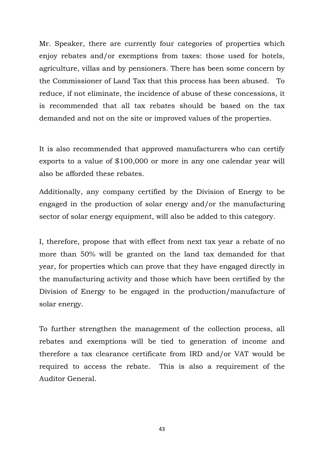Mr. Speaker, there are currently four categories of properties which enjoy rebates and/or exemptions from taxes: those used for hotels, agriculture, villas and by pensioners. There has been some concern by the Commissioner of Land Tax that this process has been abused. To reduce, if not eliminate, the incidence of abuse of these concessions, it is recommended that all tax rebates should be based on the tax demanded and not on the site or improved values of the properties.

It is also recommended that approved manufacturers who can certify exports to a value of \$100,000 or more in any one calendar year will also be afforded these rebates.

Additionally, any company certified by the Division of Energy to be engaged in the production of solar energy and/or the manufacturing sector of solar energy equipment, will also be added to this category.

I, therefore, propose that with effect from next tax year a rebate of no more than 50% will be granted on the land tax demanded for that year, for properties which can prove that they have engaged directly in the manufacturing activity and those which have been certified by the Division of Energy to be engaged in the production/manufacture of solar energy.

To further strengthen the management of the collection process, all rebates and exemptions will be tied to generation of income and therefore a tax clearance certificate from IRD and/or VAT would be required to access the rebate. This is also a requirement of the Auditor General.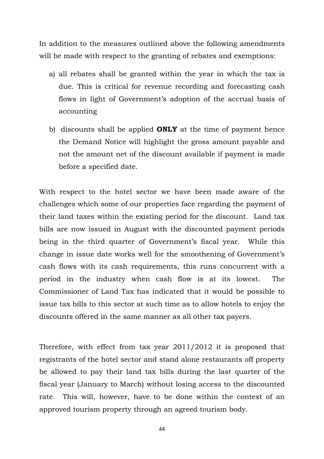In addition to the measures outlined above the following amendments will be made with respect to the granting of rebates and exemptions:

- a) all rebates shall be granted within the year in which the tax is due. This is critical for revenue recording and forecasting cash flows in light of Government's adoption of the accrual basis of accounting
- b) discounts shall be applied **ONLY** at the time of payment hence the Demand Notice will highlight the gross amount payable and not the amount net of the discount available if payment is made before a specified date.

With respect to the hotel sector we have been made aware of the challenges which some of our properties face regarding the payment of their land taxes within the existing period for the discount. Land tax bills are now issued in August with the discounted payment periods being in the third quarter of Government's fiscal year. While this change in issue date works well for the smoothening of Government's cash flows with its cash requirements, this runs concurrent with a period in the industry when cash flow is at its lowest. The Commissioner of Land Tax has indicated that it would be possible to issue tax bills to this sector at such time as to allow hotels to enjoy the discounts offered in the same manner as all other tax payers.

Therefore, with effect from tax year 2011/2012 it is proposed that registrants of the hotel sector and stand alone restaurants off property be allowed to pay their land tax bills during the last quarter of the fiscal year (January to March) without losing access to the discounted rate. This will, however, have to be done within the context of an approved tourism property through an agreed tourism body.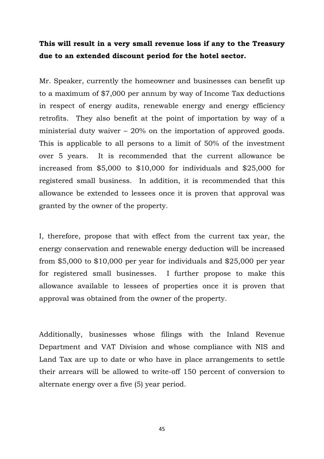## **This will result in a very small revenue loss if any to the Treasury due to an extended discount period for the hotel sector.**

Mr. Speaker, currently the homeowner and businesses can benefit up to a maximum of \$7,000 per annum by way of Income Tax deductions in respect of energy audits, renewable energy and energy efficiency retrofits. They also benefit at the point of importation by way of a ministerial duty waiver – 20% on the importation of approved goods. This is applicable to all persons to a limit of 50% of the investment over 5 years. It is recommended that the current allowance be increased from \$5,000 to \$10,000 for individuals and \$25,000 for registered small business. In addition, it is recommended that this allowance be extended to lessees once it is proven that approval was granted by the owner of the property.

I, therefore, propose that with effect from the current tax year, the energy conservation and renewable energy deduction will be increased from \$5,000 to \$10,000 per year for individuals and \$25,000 per year for registered small businesses. I further propose to make this allowance available to lessees of properties once it is proven that approval was obtained from the owner of the property.

Additionally, businesses whose filings with the Inland Revenue Department and VAT Division and whose compliance with NIS and Land Tax are up to date or who have in place arrangements to settle their arrears will be allowed to write-off 150 percent of conversion to alternate energy over a five (5) year period.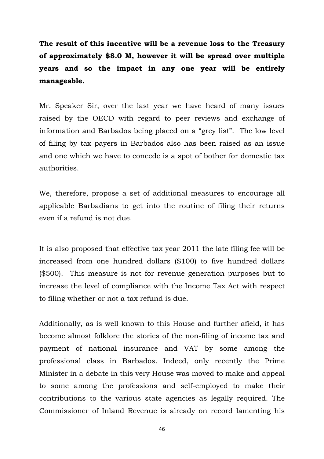**The result of this incentive will be a revenue loss to the Treasury of approximately \$8.0 M, however it will be spread over multiple years and so the impact in any one year will be entirely manageable.** 

Mr. Speaker Sir, over the last year we have heard of many issues raised by the OECD with regard to peer reviews and exchange of information and Barbados being placed on a "grey list". The low level of filing by tax payers in Barbados also has been raised as an issue and one which we have to concede is a spot of bother for domestic tax authorities.

We, therefore, propose a set of additional measures to encourage all applicable Barbadians to get into the routine of filing their returns even if a refund is not due.

It is also proposed that effective tax year 2011 the late filing fee will be increased from one hundred dollars (\$100) to five hundred dollars (\$500). This measure is not for revenue generation purposes but to increase the level of compliance with the Income Tax Act with respect to filing whether or not a tax refund is due.

Additionally, as is well known to this House and further afield, it has become almost folklore the stories of the non-filing of income tax and payment of national insurance and VAT by some among the professional class in Barbados. Indeed, only recently the Prime Minister in a debate in this very House was moved to make and appeal to some among the professions and self-employed to make their contributions to the various state agencies as legally required. The Commissioner of Inland Revenue is already on record lamenting his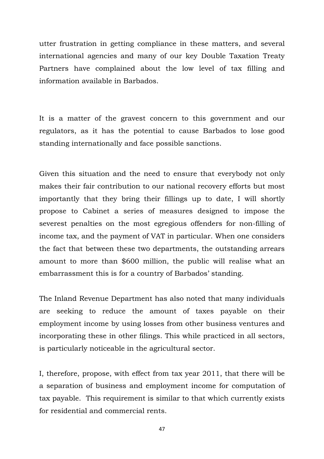utter frustration in getting compliance in these matters, and several international agencies and many of our key Double Taxation Treaty Partners have complained about the low level of tax filling and information available in Barbados.

It is a matter of the gravest concern to this government and our regulators, as it has the potential to cause Barbados to lose good standing internationally and face possible sanctions.

Given this situation and the need to ensure that everybody not only makes their fair contribution to our national recovery efforts but most importantly that they bring their fillings up to date, I will shortly propose to Cabinet a series of measures designed to impose the severest penalties on the most egregious offenders for non-filling of income tax, and the payment of VAT in particular. When one considers the fact that between these two departments, the outstanding arrears amount to more than \$600 million, the public will realise what an embarrassment this is for a country of Barbados' standing.

The Inland Revenue Department has also noted that many individuals are seeking to reduce the amount of taxes payable on their employment income by using losses from other business ventures and incorporating these in other filings. This while practiced in all sectors, is particularly noticeable in the agricultural sector.

I, therefore, propose, with effect from tax year 2011, that there will be a separation of business and employment income for computation of tax payable. This requirement is similar to that which currently exists for residential and commercial rents.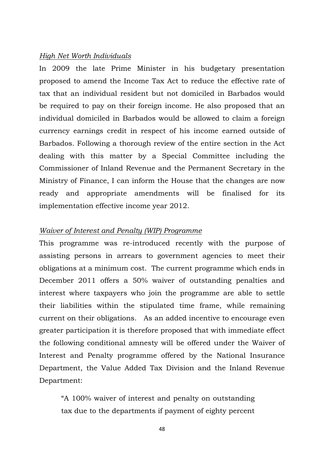### *High Net Worth Individuals*

In 2009 the late Prime Minister in his budgetary presentation proposed to amend the Income Tax Act to reduce the effective rate of tax that an individual resident but not domiciled in Barbados would be required to pay on their foreign income. He also proposed that an individual domiciled in Barbados would be allowed to claim a foreign currency earnings credit in respect of his income earned outside of Barbados. Following a thorough review of the entire section in the Act dealing with this matter by a Special Committee including the Commissioner of Inland Revenue and the Permanent Secretary in the Ministry of Finance, I can inform the House that the changes are now ready and appropriate amendments will be finalised for its implementation effective income year 2012.

### *Waiver of Interest and Penalty (WIP) Programme*

This programme was re-introduced recently with the purpose of assisting persons in arrears to government agencies to meet their obligations at a minimum cost. The current programme which ends in December 2011 offers a 50% waiver of outstanding penalties and interest where taxpayers who join the programme are able to settle their liabilities within the stipulated time frame, while remaining current on their obligations. As an added incentive to encourage even greater participation it is therefore proposed that with immediate effect the following conditional amnesty will be offered under the Waiver of Interest and Penalty programme offered by the National Insurance Department, the Value Added Tax Division and the Inland Revenue Department:

"A 100% waiver of interest and penalty on outstanding tax due to the departments if payment of eighty percent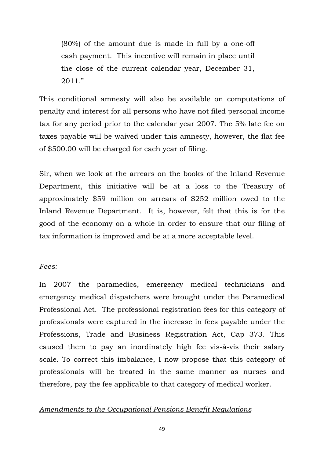(80%) of the amount due is made in full by a one-off cash payment. This incentive will remain in place until the close of the current calendar year, December 31, 2011."

This conditional amnesty will also be available on computations of penalty and interest for all persons who have not filed personal income tax for any period prior to the calendar year 2007. The 5% late fee on taxes payable will be waived under this amnesty, however, the flat fee of \$500.00 will be charged for each year of filing.

Sir, when we look at the arrears on the books of the Inland Revenue Department, this initiative will be at a loss to the Treasury of approximately \$59 million on arrears of \$252 million owed to the Inland Revenue Department. It is, however, felt that this is for the good of the economy on a whole in order to ensure that our filing of tax information is improved and be at a more acceptable level.

### *Fees:*

In 2007 the paramedics, emergency medical technicians and emergency medical dispatchers were brought under the Paramedical Professional Act. The professional registration fees for this category of professionals were captured in the increase in fees payable under the Professions, Trade and Business Registration Act, Cap 373. This caused them to pay an inordinately high fee vis-à-vis their salary scale. To correct this imbalance, I now propose that this category of professionals will be treated in the same manner as nurses and therefore, pay the fee applicable to that category of medical worker.

### *Amendments to the Occupational Pensions Benefit Regulations*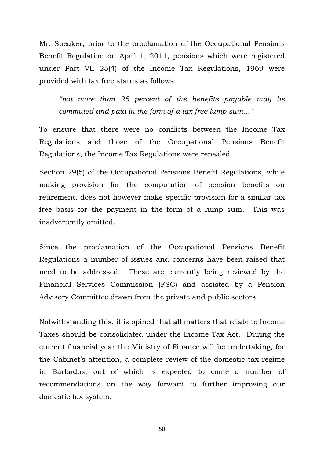Mr. Speaker, prior to the proclamation of the Occupational Pensions Benefit Regulation on April 1, 2011, pensions which were registered under Part VII 25(4) of the Income Tax Regulations, 1969 were provided with tax free status as follows:

*"not more than 25 percent of the benefits payable may be commuted and paid in the form of a tax free lump sum…"*

To ensure that there were no conflicts between the Income Tax Regulations and those of the Occupational Pensions Benefit Regulations, the Income Tax Regulations were repealed.

Section 29(5) of the Occupational Pensions Benefit Regulations, while making provision for the computation of pension benefits on retirement, does not however make specific provision for a similar tax free basis for the payment in the form of a lump sum. This was inadvertently omitted.

Since the proclamation of the Occupational Pensions Benefit Regulations a number of issues and concerns have been raised that need to be addressed. These are currently being reviewed by the Financial Services Commission (FSC) and assisted by a Pension Advisory Committee drawn from the private and public sectors.

Notwithstanding this, it is opined that all matters that relate to Income Taxes should be consolidated under the Income Tax Act. During the current financial year the Ministry of Finance will be undertaking, for the Cabinet's attention, a complete review of the domestic tax regime in Barbados, out of which is expected to come a number of recommendations on the way forward to further improving our domestic tax system.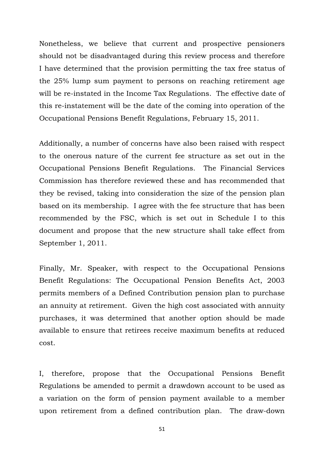Nonetheless, we believe that current and prospective pensioners should not be disadvantaged during this review process and therefore I have determined that the provision permitting the tax free status of the 25% lump sum payment to persons on reaching retirement age will be re-instated in the Income Tax Regulations. The effective date of this re-instatement will be the date of the coming into operation of the Occupational Pensions Benefit Regulations, February 15, 2011.

Additionally, a number of concerns have also been raised with respect to the onerous nature of the current fee structure as set out in the Occupational Pensions Benefit Regulations. The Financial Services Commission has therefore reviewed these and has recommended that they be revised, taking into consideration the size of the pension plan based on its membership. I agree with the fee structure that has been recommended by the FSC, which is set out in Schedule I to this document and propose that the new structure shall take effect from September 1, 2011.

Finally, Mr. Speaker, with respect to the Occupational Pensions Benefit Regulations: The Occupational Pension Benefits Act, 2003 permits members of a Defined Contribution pension plan to purchase an annuity at retirement. Given the high cost associated with annuity purchases, it was determined that another option should be made available to ensure that retirees receive maximum benefits at reduced cost.

I, therefore, propose that the Occupational Pensions Benefit Regulations be amended to permit a drawdown account to be used as a variation on the form of pension payment available to a member upon retirement from a defined contribution plan. The draw-down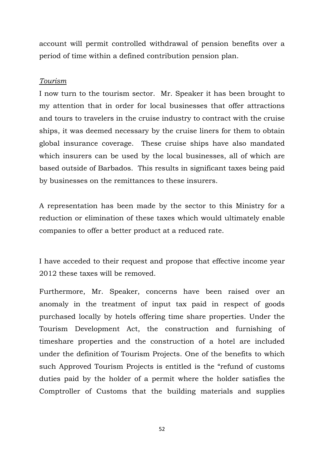account will permit controlled withdrawal of pension benefits over a period of time within a defined contribution pension plan.

#### *Tourism*

I now turn to the tourism sector. Mr. Speaker it has been brought to my attention that in order for local businesses that offer attractions and tours to travelers in the cruise industry to contract with the cruise ships, it was deemed necessary by the cruise liners for them to obtain global insurance coverage. These cruise ships have also mandated which insurers can be used by the local businesses, all of which are based outside of Barbados. This results in significant taxes being paid by businesses on the remittances to these insurers.

A representation has been made by the sector to this Ministry for a reduction or elimination of these taxes which would ultimately enable companies to offer a better product at a reduced rate.

I have acceded to their request and propose that effective income year 2012 these taxes will be removed.

Furthermore, Mr. Speaker, concerns have been raised over an anomaly in the treatment of input tax paid in respect of goods purchased locally by hotels offering time share properties. Under the Tourism Development Act, the construction and furnishing of timeshare properties and the construction of a hotel are included under the definition of Tourism Projects. One of the benefits to which such Approved Tourism Projects is entitled is the "refund of customs duties paid by the holder of a permit where the holder satisfies the Comptroller of Customs that the building materials and supplies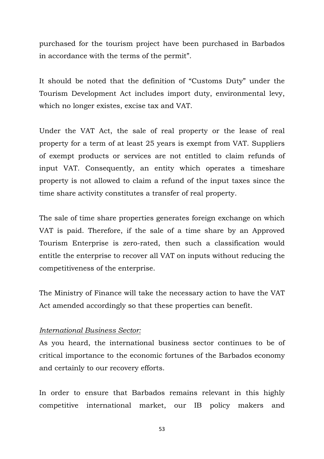purchased for the tourism project have been purchased in Barbados in accordance with the terms of the permit".

It should be noted that the definition of "Customs Duty" under the Tourism Development Act includes import duty, environmental levy, which no longer existes, excise tax and VAT.

Under the VAT Act, the sale of real property or the lease of real property for a term of at least 25 years is exempt from VAT. Suppliers of exempt products or services are not entitled to claim refunds of input VAT. Consequently, an entity which operates a timeshare property is not allowed to claim a refund of the input taxes since the time share activity constitutes a transfer of real property.

The sale of time share properties generates foreign exchange on which VAT is paid. Therefore, if the sale of a time share by an Approved Tourism Enterprise is zero-rated, then such a classification would entitle the enterprise to recover all VAT on inputs without reducing the competitiveness of the enterprise.

The Ministry of Finance will take the necessary action to have the VAT Act amended accordingly so that these properties can benefit.

### *International Business Sector:*

As you heard, the international business sector continues to be of critical importance to the economic fortunes of the Barbados economy and certainly to our recovery efforts.

In order to ensure that Barbados remains relevant in this highly competitive international market, our IB policy makers and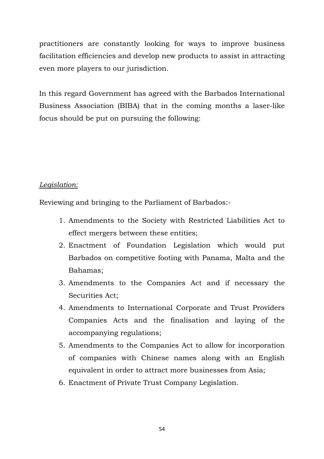practitioners are constantly looking for ways to improve business facilitation efficiencies and develop new products to assist in attracting even more players to our jurisdiction.

In this regard Government has agreed with the Barbados International Business Association (BIBA) that in the coming months a laser-like focus should be put on pursuing the following:

### *Legislation:*

Reviewing and bringing to the Parliament of Barbados:-

- 1. Amendments to the Society with Restricted Liabilities Act to effect mergers between these entities;
- 2. Enactment of Foundation Legislation which would put Barbados on competitive footing with Panama, Malta and the Bahamas;
- 3. Amendments to the Companies Act and if necessary the Securities Act;
- 4. Amendments to International Corporate and Trust Providers Companies Acts and the finalisation and laying of the accompanying regulations;
- 5. Amendments to the Companies Act to allow for incorporation of companies with Chinese names along with an English equivalent in order to attract more businesses from Asia;
- 6. Enactment of Private Trust Company Legislation.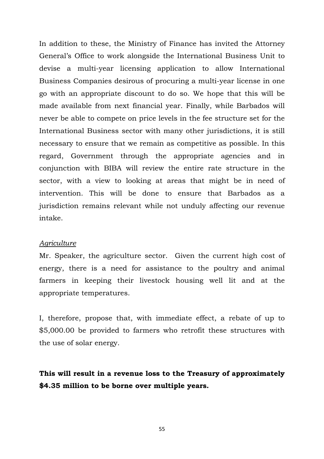In addition to these, the Ministry of Finance has invited the Attorney General's Office to work alongside the International Business Unit to devise a multi-year licensing application to allow International Business Companies desirous of procuring a multi-year license in one go with an appropriate discount to do so. We hope that this will be made available from next financial year. Finally, while Barbados will never be able to compete on price levels in the fee structure set for the International Business sector with many other jurisdictions, it is still necessary to ensure that we remain as competitive as possible. In this regard, Government through the appropriate agencies and in conjunction with BIBA will review the entire rate structure in the sector, with a view to looking at areas that might be in need of intervention. This will be done to ensure that Barbados as a jurisdiction remains relevant while not unduly affecting our revenue intake.

#### *Agriculture*

Mr. Speaker, the agriculture sector. Given the current high cost of energy, there is a need for assistance to the poultry and animal farmers in keeping their livestock housing well lit and at the appropriate temperatures.

I, therefore, propose that, with immediate effect, a rebate of up to \$5,000.00 be provided to farmers who retrofit these structures with the use of solar energy.

**This will result in a revenue loss to the Treasury of approximately \$4.35 million to be borne over multiple years.**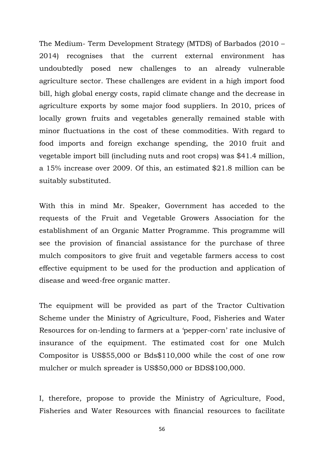The Medium- Term Development Strategy (MTDS) of Barbados (2010 – 2014) recognises that the current external environment has undoubtedly posed new challenges to an already vulnerable agriculture sector. These challenges are evident in a high import food bill, high global energy costs, rapid climate change and the decrease in agriculture exports by some major food suppliers. In 2010, prices of locally grown fruits and vegetables generally remained stable with minor fluctuations in the cost of these commodities. With regard to food imports and foreign exchange spending, the 2010 fruit and vegetable import bill (including nuts and root crops) was \$41.4 million, a 15% increase over 2009. Of this, an estimated \$21.8 million can be suitably substituted.

With this in mind Mr. Speaker, Government has acceded to the requests of the Fruit and Vegetable Growers Association for the establishment of an Organic Matter Programme. This programme will see the provision of financial assistance for the purchase of three mulch compositors to give fruit and vegetable farmers access to cost effective equipment to be used for the production and application of disease and weed-free organic matter.

The equipment will be provided as part of the Tractor Cultivation Scheme under the Ministry of Agriculture, Food, Fisheries and Water Resources for on-lending to farmers at a 'pepper-corn' rate inclusive of insurance of the equipment. The estimated cost for one Mulch Compositor is US\$55,000 or Bds\$110,000 while the cost of one row mulcher or mulch spreader is US\$50,000 or BDS\$100,000.

I, therefore, propose to provide the Ministry of Agriculture, Food, Fisheries and Water Resources with financial resources to facilitate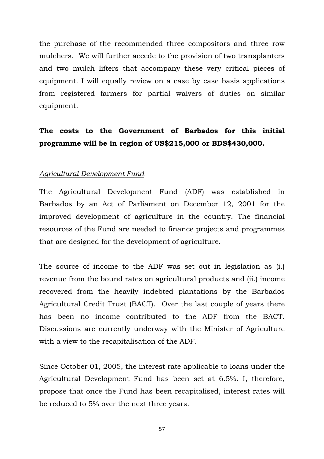the purchase of the recommended three compositors and three row mulchers. We will further accede to the provision of two transplanters and two mulch lifters that accompany these very critical pieces of equipment. I will equally review on a case by case basis applications from registered farmers for partial waivers of duties on similar equipment.

# **The costs to the Government of Barbados for this initial programme will be in region of US\$215,000 or BDS\$430,000.**

### *Agricultural Development Fund*

The Agricultural Development Fund (ADF) was established in Barbados by an Act of Parliament on December 12, 2001 for the improved development of agriculture in the country. The financial resources of the Fund are needed to finance projects and programmes that are designed for the development of agriculture.

The source of income to the ADF was set out in legislation as (i.) revenue from the bound rates on agricultural products and (ii.) income recovered from the heavily indebted plantations by the Barbados Agricultural Credit Trust (BACT). Over the last couple of years there has been no income contributed to the ADF from the BACT. Discussions are currently underway with the Minister of Agriculture with a view to the recapitalisation of the ADF.

Since October 01, 2005, the interest rate applicable to loans under the Agricultural Development Fund has been set at 6.5%. I, therefore, propose that once the Fund has been recapitalised, interest rates will be reduced to 5% over the next three years.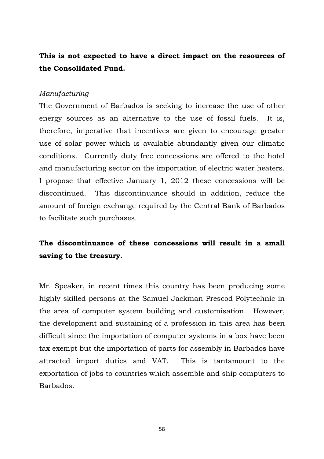## **This is not expected to have a direct impact on the resources of the Consolidated Fund.**

### *Manufacturing*

The Government of Barbados is seeking to increase the use of other energy sources as an alternative to the use of fossil fuels. It is, therefore, imperative that incentives are given to encourage greater use of solar power which is available abundantly given our climatic conditions. Currently duty free concessions are offered to the hotel and manufacturing sector on the importation of electric water heaters. I propose that effective January 1, 2012 these concessions will be discontinued. This discontinuance should in addition, reduce the amount of foreign exchange required by the Central Bank of Barbados to facilitate such purchases.

# **The discontinuance of these concessions will result in a small saving to the treasury.**

Mr. Speaker, in recent times this country has been producing some highly skilled persons at the Samuel Jackman Prescod Polytechnic in the area of computer system building and customisation. However, the development and sustaining of a profession in this area has been difficult since the importation of computer systems in a box have been tax exempt but the importation of parts for assembly in Barbados have attracted import duties and VAT. This is tantamount to the exportation of jobs to countries which assemble and ship computers to Barbados.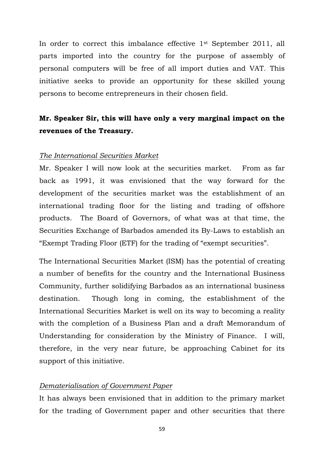In order to correct this imbalance effective 1st September 2011, all parts imported into the country for the purpose of assembly of personal computers will be free of all import duties and VAT. This initiative seeks to provide an opportunity for these skilled young persons to become entrepreneurs in their chosen field.

# **Mr. Speaker Sir, this will have only a very marginal impact on the revenues of the Treasury.**

### *The International Securities Market*

Mr. Speaker I will now look at the securities market. From as far back as 1991, it was envisioned that the way forward for the development of the securities market was the establishment of an international trading floor for the listing and trading of offshore products. The Board of Governors, of what was at that time, the Securities Exchange of Barbados amended its By-Laws to establish an "Exempt Trading Floor (ETF) for the trading of "exempt securities".

The International Securities Market (ISM) has the potential of creating a number of benefits for the country and the International Business Community, further solidifying Barbados as an international business destination. Though long in coming, the establishment of the International Securities Market is well on its way to becoming a reality with the completion of a Business Plan and a draft Memorandum of Understanding for consideration by the Ministry of Finance. I will, therefore, in the very near future, be approaching Cabinet for its support of this initiative.

### *Dematerialisation of Government Paper*

It has always been envisioned that in addition to the primary market for the trading of Government paper and other securities that there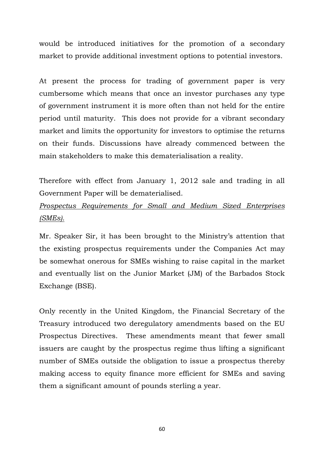would be introduced initiatives for the promotion of a secondary market to provide additional investment options to potential investors.

At present the process for trading of government paper is very cumbersome which means that once an investor purchases any type of government instrument it is more often than not held for the entire period until maturity. This does not provide for a vibrant secondary market and limits the opportunity for investors to optimise the returns on their funds. Discussions have already commenced between the main stakeholders to make this dematerialisation a reality.

Therefore with effect from January 1, 2012 sale and trading in all Government Paper will be dematerialised.

# *Prospectus Requirements for Small and Medium Sized Enterprises (SMEs).*

Mr. Speaker Sir, it has been brought to the Ministry's attention that the existing prospectus requirements under the Companies Act may be somewhat onerous for SMEs wishing to raise capital in the market and eventually list on the Junior Market (JM) of the Barbados Stock Exchange (BSE).

Only recently in the United Kingdom, the Financial Secretary of the Treasury introduced two deregulatory amendments based on the EU Prospectus Directives. These amendments meant that fewer small issuers are caught by the prospectus regime thus lifting a significant number of SMEs outside the obligation to issue a prospectus thereby making access to equity finance more efficient for SMEs and saving them a significant amount of pounds sterling a year.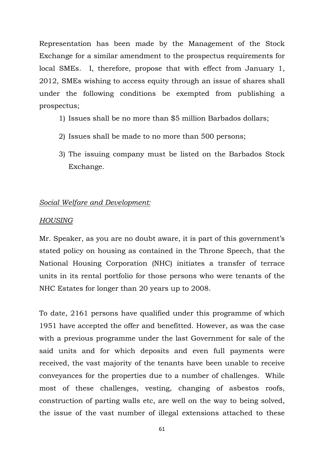Representation has been made by the Management of the Stock Exchange for a similar amendment to the prospectus requirements for local SMEs. I, therefore, propose that with effect from January 1, 2012, SMEs wishing to access equity through an issue of shares shall under the following conditions be exempted from publishing a prospectus;

- 1) Issues shall be no more than \$5 million Barbados dollars;
- 2) Issues shall be made to no more than 500 persons;
- 3) The issuing company must be listed on the Barbados Stock Exchange.

### *Social Welfare and Development:*

### *HOUSING*

Mr. Speaker, as you are no doubt aware, it is part of this government's stated policy on housing as contained in the Throne Speech, that the National Housing Corporation (NHC) initiates a transfer of terrace units in its rental portfolio for those persons who were tenants of the NHC Estates for longer than 20 years up to 2008.

To date, 2161 persons have qualified under this programme of which 1951 have accepted the offer and benefitted. However, as was the case with a previous programme under the last Government for sale of the said units and for which deposits and even full payments were received, the vast majority of the tenants have been unable to receive conveyances for the properties due to a number of challenges. While most of these challenges, vesting, changing of asbestos roofs, construction of parting walls etc, are well on the way to being solved, the issue of the vast number of illegal extensions attached to these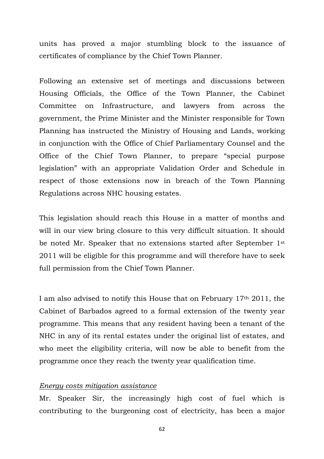units has proved a major stumbling block to the issuance of certificates of compliance by the Chief Town Planner.

Following an extensive set of meetings and discussions between Housing Officials, the Office of the Town Planner, the Cabinet Committee on Infrastructure, and lawyers from across the government, the Prime Minister and the Minister responsible for Town Planning has instructed the Ministry of Housing and Lands, working in conjunction with the Office of Chief Parliamentary Counsel and the Office of the Chief Town Planner, to prepare "special purpose legislation" with an appropriate Validation Order and Schedule in respect of those extensions now in breach of the Town Planning Regulations across NHC housing estates.

This legislation should reach this House in a matter of months and will in our view bring closure to this very difficult situation. It should be noted Mr. Speaker that no extensions started after September 1st 2011 will be eligible for this programme and will therefore have to seek full permission from the Chief Town Planner.

I am also advised to notify this House that on February 17th 2011, the Cabinet of Barbados agreed to a formal extension of the twenty year programme. This means that any resident having been a tenant of the NHC in any of its rental estates under the original list of estates, and who meet the eligibility criteria, will now be able to benefit from the programme once they reach the twenty year qualification time.

### *Energy costs mitigation assistance*

Mr. Speaker Sir, the increasingly high cost of fuel which is contributing to the burgeoning cost of electricity, has been a major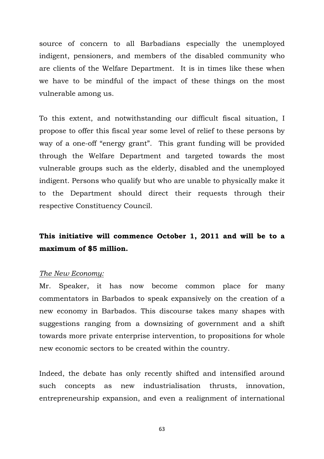source of concern to all Barbadians especially the unemployed indigent, pensioners, and members of the disabled community who are clients of the Welfare Department. It is in times like these when we have to be mindful of the impact of these things on the most vulnerable among us.

To this extent, and notwithstanding our difficult fiscal situation, I propose to offer this fiscal year some level of relief to these persons by way of a one-off "energy grant". This grant funding will be provided through the Welfare Department and targeted towards the most vulnerable groups such as the elderly, disabled and the unemployed indigent. Persons who qualify but who are unable to physically make it to the Department should direct their requests through their respective Constituency Council.

## **This initiative will commence October 1, 2011 and will be to a maximum of \$5 million.**

#### *The New Economy:*

Mr. Speaker, it has now become common place for many commentators in Barbados to speak expansively on the creation of a new economy in Barbados. This discourse takes many shapes with suggestions ranging from a downsizing of government and a shift towards more private enterprise intervention, to propositions for whole new economic sectors to be created within the country.

Indeed, the debate has only recently shifted and intensified around such concepts as new industrialisation thrusts, innovation, entrepreneurship expansion, and even a realignment of international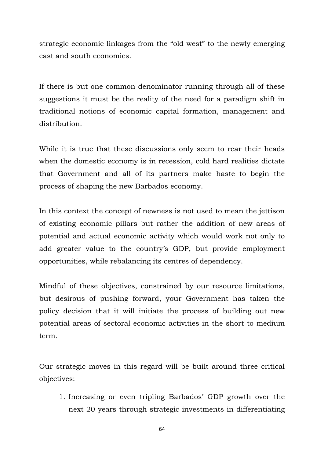strategic economic linkages from the "old west" to the newly emerging east and south economies.

If there is but one common denominator running through all of these suggestions it must be the reality of the need for a paradigm shift in traditional notions of economic capital formation, management and distribution.

While it is true that these discussions only seem to rear their heads when the domestic economy is in recession, cold hard realities dictate that Government and all of its partners make haste to begin the process of shaping the new Barbados economy.

In this context the concept of newness is not used to mean the jettison of existing economic pillars but rather the addition of new areas of potential and actual economic activity which would work not only to add greater value to the country's GDP, but provide employment opportunities, while rebalancing its centres of dependency.

Mindful of these objectives, constrained by our resource limitations, but desirous of pushing forward, your Government has taken the policy decision that it will initiate the process of building out new potential areas of sectoral economic activities in the short to medium term.

Our strategic moves in this regard will be built around three critical objectives:

1. Increasing or even tripling Barbados' GDP growth over the next 20 years through strategic investments in differentiating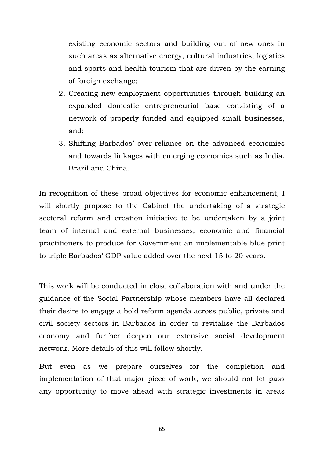existing economic sectors and building out of new ones in such areas as alternative energy, cultural industries, logistics and sports and health tourism that are driven by the earning of foreign exchange;

- 2. Creating new employment opportunities through building an expanded domestic entrepreneurial base consisting of a network of properly funded and equipped small businesses, and;
- 3. Shifting Barbados' over-reliance on the advanced economies and towards linkages with emerging economies such as India, Brazil and China.

In recognition of these broad objectives for economic enhancement, I will shortly propose to the Cabinet the undertaking of a strategic sectoral reform and creation initiative to be undertaken by a joint team of internal and external businesses, economic and financial practitioners to produce for Government an implementable blue print to triple Barbados' GDP value added over the next 15 to 20 years.

This work will be conducted in close collaboration with and under the guidance of the Social Partnership whose members have all declared their desire to engage a bold reform agenda across public, private and civil society sectors in Barbados in order to revitalise the Barbados economy and further deepen our extensive social development network. More details of this will follow shortly.

But even as we prepare ourselves for the completion and implementation of that major piece of work, we should not let pass any opportunity to move ahead with strategic investments in areas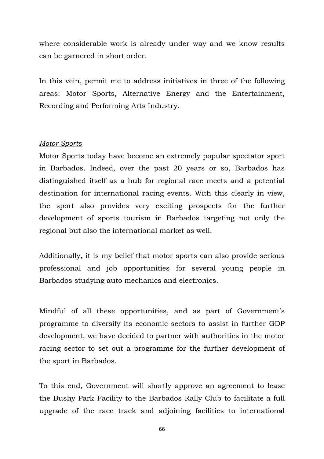where considerable work is already under way and we know results can be garnered in short order.

In this vein, permit me to address initiatives in three of the following areas: Motor Sports, Alternative Energy and the Entertainment, Recording and Performing Arts Industry.

#### *Motor Sports*

Motor Sports today have become an extremely popular spectator sport in Barbados. Indeed, over the past 20 years or so, Barbados has distinguished itself as a hub for regional race meets and a potential destination for international racing events. With this clearly in view, the sport also provides very exciting prospects for the further development of sports tourism in Barbados targeting not only the regional but also the international market as well.

Additionally, it is my belief that motor sports can also provide serious professional and job opportunities for several young people in Barbados studying auto mechanics and electronics.

Mindful of all these opportunities, and as part of Government's programme to diversify its economic sectors to assist in further GDP development, we have decided to partner with authorities in the motor racing sector to set out a programme for the further development of the sport in Barbados.

To this end, Government will shortly approve an agreement to lease the Bushy Park Facility to the Barbados Rally Club to facilitate a full upgrade of the race track and adjoining facilities to international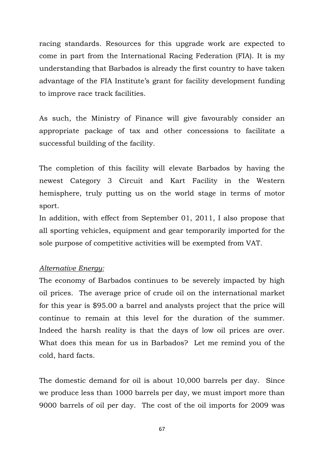racing standards. Resources for this upgrade work are expected to come in part from the International Racing Federation (FIA). It is my understanding that Barbados is already the first country to have taken advantage of the FIA Institute's grant for facility development funding to improve race track facilities.

As such, the Ministry of Finance will give favourably consider an appropriate package of tax and other concessions to facilitate a successful building of the facility.

The completion of this facility will elevate Barbados by having the newest Category 3 Circuit and Kart Facility in the Western hemisphere, truly putting us on the world stage in terms of motor sport.

In addition, with effect from September 01, 2011, I also propose that all sporting vehicles, equipment and gear temporarily imported for the sole purpose of competitive activities will be exempted from VAT.

### *Alternative Energy:*

The economy of Barbados continues to be severely impacted by high oil prices. The average price of crude oil on the international market for this year is \$95.00 a barrel and analysts project that the price will continue to remain at this level for the duration of the summer. Indeed the harsh reality is that the days of low oil prices are over. What does this mean for us in Barbados? Let me remind you of the cold, hard facts.

The domestic demand for oil is about 10,000 barrels per day. Since we produce less than 1000 barrels per day, we must import more than 9000 barrels of oil per day. The cost of the oil imports for 2009 was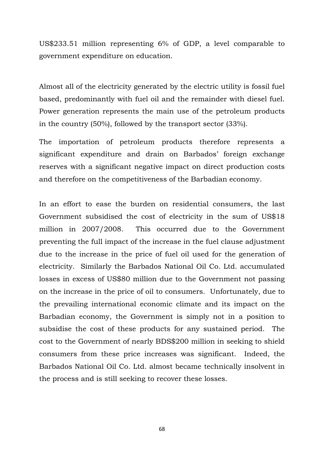US\$233.51 million representing 6% of GDP, a level comparable to government expenditure on education.

Almost all of the electricity generated by the electric utility is fossil fuel based, predominantly with fuel oil and the remainder with diesel fuel. Power generation represents the main use of the petroleum products in the country (50%), followed by the transport sector (33%).

The importation of petroleum products therefore represents a significant expenditure and drain on Barbados' foreign exchange reserves with a significant negative impact on direct production costs and therefore on the competitiveness of the Barbadian economy.

In an effort to ease the burden on residential consumers, the last Government subsidised the cost of electricity in the sum of US\$18 million in 2007/2008. This occurred due to the Government preventing the full impact of the increase in the fuel clause adjustment due to the increase in the price of fuel oil used for the generation of electricity. Similarly the Barbados National Oil Co. Ltd. accumulated losses in excess of US\$80 million due to the Government not passing on the increase in the price of oil to consumers. Unfortunately, due to the prevailing international economic climate and its impact on the Barbadian economy, the Government is simply not in a position to subsidise the cost of these products for any sustained period. The cost to the Government of nearly BDS\$200 million in seeking to shield consumers from these price increases was significant. Indeed, the Barbados National Oil Co. Ltd. almost became technically insolvent in the process and is still seeking to recover these losses.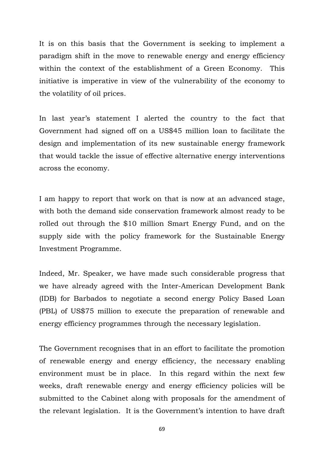It is on this basis that the Government is seeking to implement a paradigm shift in the move to renewable energy and energy efficiency within the context of the establishment of a Green Economy. This initiative is imperative in view of the vulnerability of the economy to the volatility of oil prices.

In last year's statement I alerted the country to the fact that Government had signed off on a US\$45 million loan to facilitate the design and implementation of its new sustainable energy framework that would tackle the issue of effective alternative energy interventions across the economy.

I am happy to report that work on that is now at an advanced stage, with both the demand side conservation framework almost ready to be rolled out through the \$10 million Smart Energy Fund, and on the supply side with the policy framework for the Sustainable Energy Investment Programme.

Indeed, Mr. Speaker, we have made such considerable progress that we have already agreed with the Inter-American Development Bank (IDB) for Barbados to negotiate a second energy Policy Based Loan (PBL) of US\$75 million to execute the preparation of renewable and energy efficiency programmes through the necessary legislation.

The Government recognises that in an effort to facilitate the promotion of renewable energy and energy efficiency, the necessary enabling environment must be in place. In this regard within the next few weeks, draft renewable energy and energy efficiency policies will be submitted to the Cabinet along with proposals for the amendment of the relevant legislation. It is the Government's intention to have draft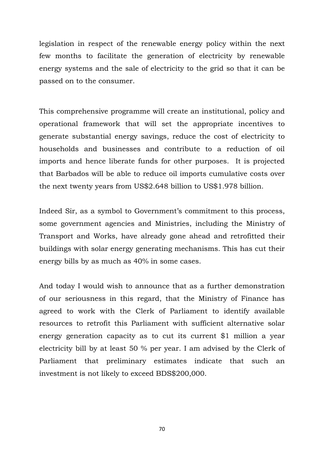legislation in respect of the renewable energy policy within the next few months to facilitate the generation of electricity by renewable energy systems and the sale of electricity to the grid so that it can be passed on to the consumer.

This comprehensive programme will create an institutional, policy and operational framework that will set the appropriate incentives to generate substantial energy savings, reduce the cost of electricity to households and businesses and contribute to a reduction of oil imports and hence liberate funds for other purposes. It is projected that Barbados will be able to reduce oil imports cumulative costs over the next twenty years from US\$2.648 billion to US\$1.978 billion.

Indeed Sir, as a symbol to Government's commitment to this process, some government agencies and Ministries, including the Ministry of Transport and Works, have already gone ahead and retrofitted their buildings with solar energy generating mechanisms. This has cut their energy bills by as much as 40% in some cases.

And today I would wish to announce that as a further demonstration of our seriousness in this regard, that the Ministry of Finance has agreed to work with the Clerk of Parliament to identify available resources to retrofit this Parliament with sufficient alternative solar energy generation capacity as to cut its current \$1 million a year electricity bill by at least 50 % per year. I am advised by the Clerk of Parliament that preliminary estimates indicate that such an investment is not likely to exceed BDS\$200,000.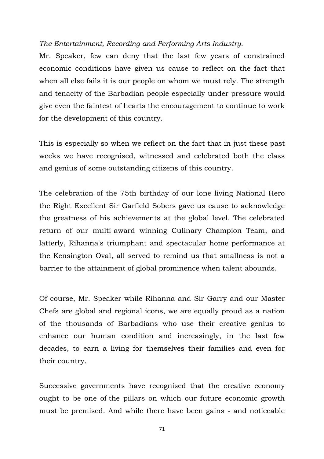### *The Entertainment, Recording and Performing Arts Industry.*

Mr. Speaker, few can deny that the last few years of constrained economic conditions have given us cause to reflect on the fact that when all else fails it is our people on whom we must rely. The strength and tenacity of the Barbadian people especially under pressure would give even the faintest of hearts the encouragement to continue to work for the development of this country.

This is especially so when we reflect on the fact that in just these past weeks we have recognised, witnessed and celebrated both the class and genius of some outstanding citizens of this country.

The celebration of the 75th birthday of our lone living National Hero the Right Excellent Sir Garfield Sobers gave us cause to acknowledge the greatness of his achievements at the global level. The celebrated return of our multi-award winning Culinary Champion Team, and latterly, Rihanna's triumphant and spectacular home performance at the Kensington Oval, all served to remind us that smallness is not a barrier to the attainment of global prominence when talent abounds.

Of course, Mr. Speaker while Rihanna and Sir Garry and our Master Chefs are global and regional icons, we are equally proud as a nation of the thousands of Barbadians who use their creative genius to enhance our human condition and increasingly, in the last few decades, to earn a living for themselves their families and even for their country.

Successive governments have recognised that the creative economy ought to be one of the pillars on which our future economic growth must be premised. And while there have been gains - and noticeable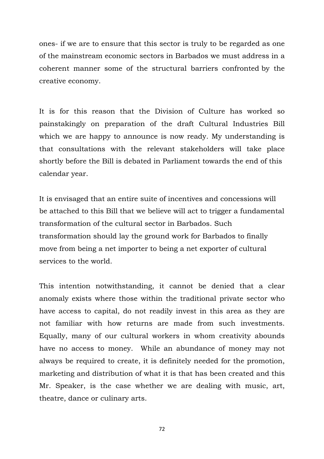ones- if we are to ensure that this sector is truly to be regarded as one of the mainstream economic sectors in Barbados we must address in a coherent manner some of the structural barriers confronted by the creative economy.

It is for this reason that the Division of Culture has worked so painstakingly on preparation of the draft Cultural Industries Bill which we are happy to announce is now ready. My understanding is that consultations with the relevant stakeholders will take place shortly before the Bill is debated in Parliament towards the end of this calendar year.

It is envisaged that an entire suite of incentives and concessions will be attached to this Bill that we believe will act to trigger a fundamental transformation of the cultural sector in Barbados. Such transformation should lay the ground work for Barbados to finally move from being a net importer to being a net exporter of cultural services to the world.

This intention notwithstanding, it cannot be denied that a clear anomaly exists where those within the traditional private sector who have access to capital, do not readily invest in this area as they are not familiar with how returns are made from such investments. Equally, many of our cultural workers in whom creativity abounds have no access to money. While an abundance of money may not always be required to create, it is definitely needed for the promotion, marketing and distribution of what it is that has been created and this Mr. Speaker, is the case whether we are dealing with music, art, theatre, dance or culinary arts.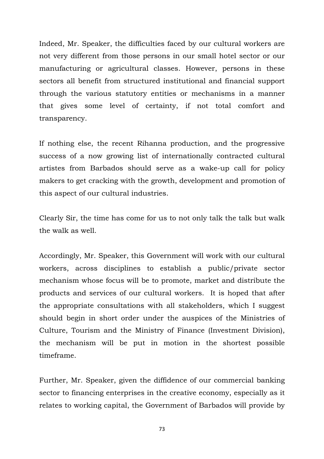Indeed, Mr. Speaker, the difficulties faced by our cultural workers are not very different from those persons in our small hotel sector or our manufacturing or agricultural classes. However, persons in these sectors all benefit from structured institutional and financial support through the various statutory entities or mechanisms in a manner that gives some level of certainty, if not total comfort and transparency.

If nothing else, the recent Rihanna production, and the progressive success of a now growing list of internationally contracted cultural artistes from Barbados should serve as a wake-up call for policy makers to get cracking with the growth, development and promotion of this aspect of our cultural industries.

Clearly Sir, the time has come for us to not only talk the talk but walk the walk as well.

Accordingly, Mr. Speaker, this Government will work with our cultural workers, across disciplines to establish a public/private sector mechanism whose focus will be to promote, market and distribute the products and services of our cultural workers. It is hoped that after the appropriate consultations with all stakeholders, which I suggest should begin in short order under the auspices of the Ministries of Culture, Tourism and the Ministry of Finance (Investment Division), the mechanism will be put in motion in the shortest possible timeframe.

Further, Mr. Speaker, given the diffidence of our commercial banking sector to financing enterprises in the creative economy, especially as it relates to working capital, the Government of Barbados will provide by

73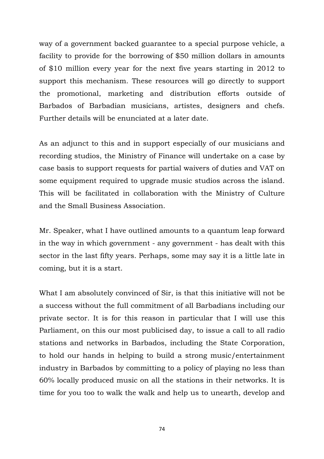way of a government backed guarantee to a special purpose vehicle, a facility to provide for the borrowing of \$50 million dollars in amounts of \$10 million every year for the next five years starting in 2012 to support this mechanism. These resources will go directly to support the promotional, marketing and distribution efforts outside of Barbados of Barbadian musicians, artistes, designers and chefs. Further details will be enunciated at a later date.

As an adjunct to this and in support especially of our musicians and recording studios, the Ministry of Finance will undertake on a case by case basis to support requests for partial waivers of duties and VAT on some equipment required to upgrade music studios across the island. This will be facilitated in collaboration with the Ministry of Culture and the Small Business Association.

Mr. Speaker, what I have outlined amounts to a quantum leap forward in the way in which government - any government - has dealt with this sector in the last fifty years. Perhaps, some may say it is a little late in coming, but it is a start.

What I am absolutely convinced of Sir, is that this initiative will not be a success without the full commitment of all Barbadians including our private sector. It is for this reason in particular that I will use this Parliament, on this our most publicised day, to issue a call to all radio stations and networks in Barbados, including the State Corporation, to hold our hands in helping to build a strong music/entertainment industry in Barbados by committing to a policy of playing no less than 60% locally produced music on all the stations in their networks. It is time for you too to walk the walk and help us to unearth, develop and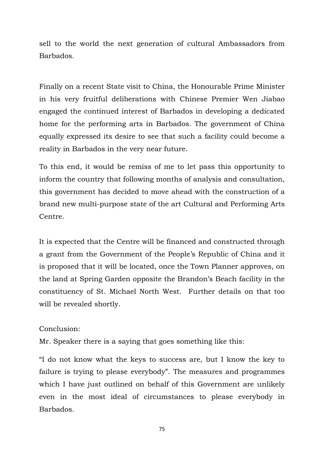sell to the world the next generation of cultural Ambassadors from Barbados.

Finally on a recent State visit to China, the Honourable Prime Minister in his very fruitful deliberations with Chinese Premier Wen Jiabao engaged the continued interest of Barbados in developing a dedicated home for the performing arts in Barbados. The government of China equally expressed its desire to see that such a facility could become a reality in Barbados in the very near future.

To this end, it would be remiss of me to let pass this opportunity to inform the country that following months of analysis and consultation, this government has decided to move ahead with the construction of a brand new multi-purpose state of the art Cultural and Performing Arts Centre.

It is expected that the Centre will be financed and constructed through a grant from the Government of the People's Republic of China and it is proposed that it will be located, once the Town Planner approves, on the land at Spring Garden opposite the Brandon's Beach facility in the constituency of St. Michael North West. Further details on that too will be revealed shortly.

### Conclusion:

Mr. Speaker there is a saying that goes something like this:

"I do not know what the keys to success are, but I know the key to failure is trying to please everybody". The measures and programmes which I have just outlined on behalf of this Government are unlikely even in the most ideal of circumstances to please everybody in Barbados.

75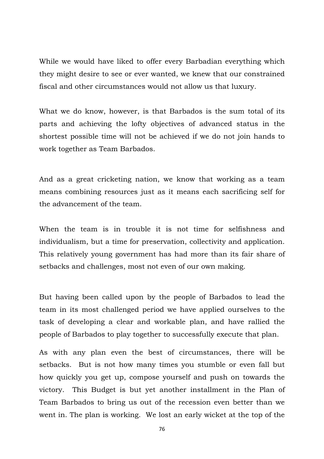While we would have liked to offer every Barbadian everything which they might desire to see or ever wanted, we knew that our constrained fiscal and other circumstances would not allow us that luxury.

What we do know, however, is that Barbados is the sum total of its parts and achieving the lofty objectives of advanced status in the shortest possible time will not be achieved if we do not join hands to work together as Team Barbados.

And as a great cricketing nation, we know that working as a team means combining resources just as it means each sacrificing self for the advancement of the team.

When the team is in trouble it is not time for selfishness and individualism, but a time for preservation, collectivity and application. This relatively young government has had more than its fair share of setbacks and challenges, most not even of our own making.

But having been called upon by the people of Barbados to lead the team in its most challenged period we have applied ourselves to the task of developing a clear and workable plan, and have rallied the people of Barbados to play together to successfully execute that plan.

As with any plan even the best of circumstances, there will be setbacks. But is not how many times you stumble or even fall but how quickly you get up, compose yourself and push on towards the victory. This Budget is but yet another installment in the Plan of Team Barbados to bring us out of the recession even better than we went in. The plan is working. We lost an early wicket at the top of the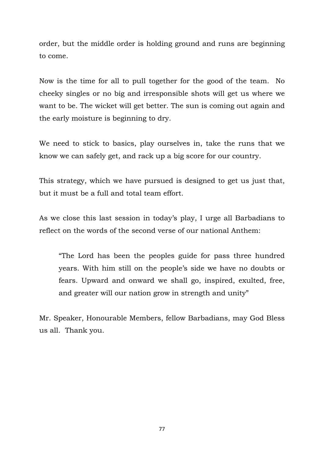order, but the middle order is holding ground and runs are beginning to come.

Now is the time for all to pull together for the good of the team. No cheeky singles or no big and irresponsible shots will get us where we want to be. The wicket will get better. The sun is coming out again and the early moisture is beginning to dry.

We need to stick to basics, play ourselves in, take the runs that we know we can safely get, and rack up a big score for our country.

This strategy, which we have pursued is designed to get us just that, but it must be a full and total team effort.

As we close this last session in today's play, I urge all Barbadians to reflect on the words of the second verse of our national Anthem:

"The Lord has been the peoples guide for pass three hundred years. With him still on the people's side we have no doubts or fears. Upward and onward we shall go, inspired, exulted, free, and greater will our nation grow in strength and unity"

Mr. Speaker, Honourable Members, fellow Barbadians, may God Bless us all. Thank you.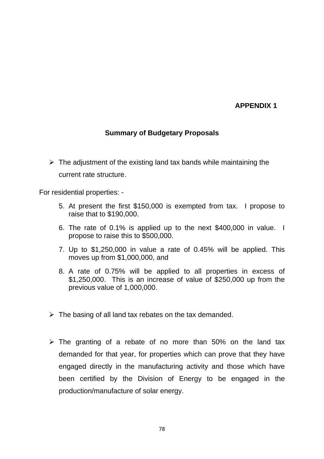### **APPENDIX 1**

## **Summary of Budgetary Proposals**

 $\triangleright$  The adjustment of the existing land tax bands while maintaining the current rate structure.

For residential properties: -

- 5. At present the first \$150,000 is exempted from tax. I propose to raise that to \$190,000.
- 6. The rate of 0.1% is applied up to the next \$400,000 in value. I propose to raise this to \$500,000.
- 7. Up to \$1,250,000 in value a rate of 0.45% will be applied. This moves up from \$1,000,000, and
- 8. A rate of 0.75% will be applied to all properties in excess of \$1,250,000. This is an increase of value of \$250,000 up from the previous value of 1,000,000.
- $\triangleright$  The basing of all land tax rebates on the tax demanded.
- $\triangleright$  The granting of a rebate of no more than 50% on the land tax demanded for that year, for properties which can prove that they have engaged directly in the manufacturing activity and those which have been certified by the Division of Energy to be engaged in the production/manufacture of solar energy.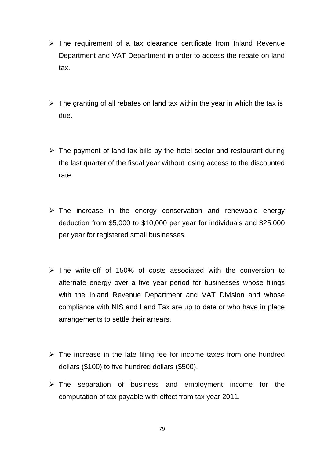- $\triangleright$  The requirement of a tax clearance certificate from Inland Revenue Department and VAT Department in order to access the rebate on land tax.
- $\triangleright$  The granting of all rebates on land tax within the year in which the tax is due.
- $\triangleright$  The payment of land tax bills by the hotel sector and restaurant during the last quarter of the fiscal year without losing access to the discounted rate.
- $\triangleright$  The increase in the energy conservation and renewable energy deduction from \$5,000 to \$10,000 per year for individuals and \$25,000 per year for registered small businesses.
- $\triangleright$  The write-off of 150% of costs associated with the conversion to alternate energy over a five year period for businesses whose filings with the Inland Revenue Department and VAT Division and whose compliance with NIS and Land Tax are up to date or who have in place arrangements to settle their arrears.
- $\triangleright$  The increase in the late filing fee for income taxes from one hundred dollars (\$100) to five hundred dollars (\$500).
- $\triangleright$  The separation of business and employment income for the computation of tax payable with effect from tax year 2011.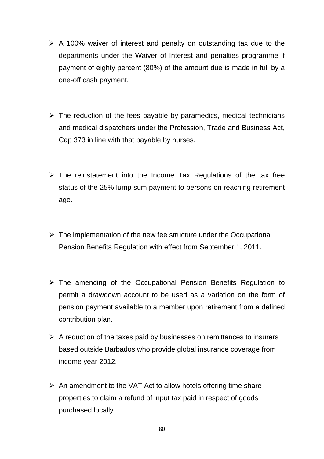- $\triangleright$  A 100% waiver of interest and penalty on outstanding tax due to the departments under the Waiver of Interest and penalties programme if payment of eighty percent (80%) of the amount due is made in full by a one-off cash payment.
- $\triangleright$  The reduction of the fees payable by paramedics, medical technicians and medical dispatchers under the Profession, Trade and Business Act, Cap 373 in line with that payable by nurses.
- $\triangleright$  The reinstatement into the Income Tax Regulations of the tax free status of the 25% lump sum payment to persons on reaching retirement age.
- $\triangleright$  The implementation of the new fee structure under the Occupational Pension Benefits Regulation with effect from September 1, 2011.
- $\triangleright$  The amending of the Occupational Pension Benefits Regulation to permit a drawdown account to be used as a variation on the form of pension payment available to a member upon retirement from a defined contribution plan.
- $\triangleright$  A reduction of the taxes paid by businesses on remittances to insurers based outside Barbados who provide global insurance coverage from income year 2012.
- $\triangleright$  An amendment to the VAT Act to allow hotels offering time share properties to claim a refund of input tax paid in respect of goods purchased locally.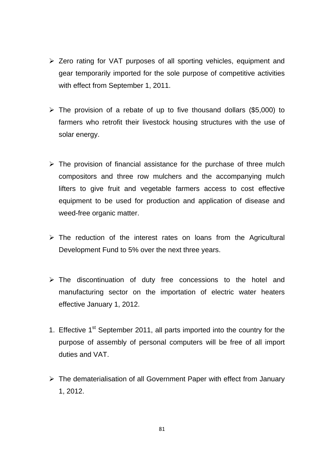- ¾ Zero rating for VAT purposes of all sporting vehicles, equipment and gear temporarily imported for the sole purpose of competitive activities with effect from September 1, 2011.
- $\triangleright$  The provision of a rebate of up to five thousand dollars (\$5,000) to farmers who retrofit their livestock housing structures with the use of solar energy.
- $\triangleright$  The provision of financial assistance for the purchase of three mulch compositors and three row mulchers and the accompanying mulch lifters to give fruit and vegetable farmers access to cost effective equipment to be used for production and application of disease and weed-free organic matter.
- $\triangleright$  The reduction of the interest rates on loans from the Agricultural Development Fund to 5% over the next three years.
- $\triangleright$  The discontinuation of duty free concessions to the hotel and manufacturing sector on the importation of electric water heaters effective January 1, 2012.
- 1. Effective  $1<sup>st</sup>$  September 2011, all parts imported into the country for the purpose of assembly of personal computers will be free of all import duties and VAT.
- ¾ The dematerialisation of all Government Paper with effect from January 1, 2012.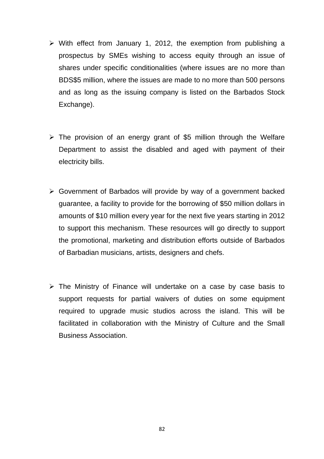- $\triangleright$  With effect from January 1, 2012, the exemption from publishing a prospectus by SMEs wishing to access equity through an issue of shares under specific conditionalities (where issues are no more than BDS\$5 million, where the issues are made to no more than 500 persons and as long as the issuing company is listed on the Barbados Stock Exchange).
- $\triangleright$  The provision of an energy grant of \$5 million through the Welfare Department to assist the disabled and aged with payment of their electricity bills.
- $\triangleright$  Government of Barbados will provide by way of a government backed guarantee, a facility to provide for the borrowing of \$50 million dollars in amounts of \$10 million every year for the next five years starting in 2012 to support this mechanism. These resources will go directly to support the promotional, marketing and distribution efforts outside of Barbados of Barbadian musicians, artists, designers and chefs.
- $\triangleright$  The Ministry of Finance will undertake on a case by case basis to support requests for partial waivers of duties on some equipment required to upgrade music studios across the island. This will be facilitated in collaboration with the Ministry of Culture and the Small Business Association.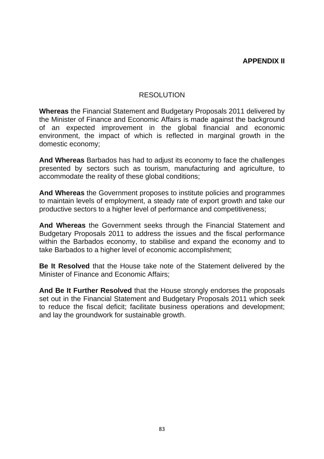### RESOLUTION

**Whereas** the Financial Statement and Budgetary Proposals 2011 delivered by the Minister of Finance and Economic Affairs is made against the background of an expected improvement in the global financial and economic environment, the impact of which is reflected in marginal growth in the domestic economy;

**And Whereas** Barbados has had to adjust its economy to face the challenges presented by sectors such as tourism, manufacturing and agriculture, to accommodate the reality of these global conditions;

**And Whereas** the Government proposes to institute policies and programmes to maintain levels of employment, a steady rate of export growth and take our productive sectors to a higher level of performance and competitiveness;

**And Whereas** the Government seeks through the Financial Statement and Budgetary Proposals 2011 to address the issues and the fiscal performance within the Barbados economy, to stabilise and expand the economy and to take Barbados to a higher level of economic accomplishment;

**Be It Resolved** that the House take note of the Statement delivered by the Minister of Finance and Economic Affairs;

**And Be It Further Resolved** that the House strongly endorses the proposals set out in the Financial Statement and Budgetary Proposals 2011 which seek to reduce the fiscal deficit; facilitate business operations and development; and lay the groundwork for sustainable growth.